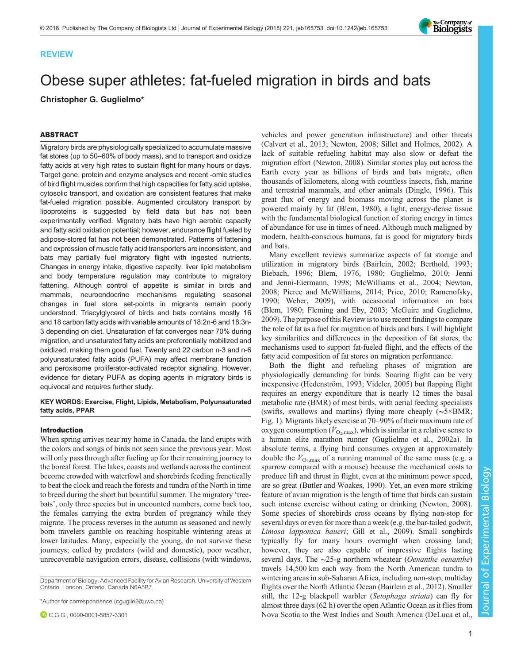

# Obese super athletes: fat-fueled migration in birds and bats Christopher G. Guglielmo\*

# ABSTRACT

Migratory birds are physiologically specialized to accumulate massive fat stores (up to 50–60% of body mass), and to transport and oxidize fatty acids at very high rates to sustain flight for many hours or days. Target gene, protein and enzyme analyses and recent -omic studies of bird flight muscles confirm that high capacities for fatty acid uptake, cytosolic transport, and oxidation are consistent features that make fat-fueled migration possible. Augmented circulatory transport by lipoproteins is suggested by field data but has not been experimentally verified. Migratory bats have high aerobic capacity and fatty acid oxidation potential; however, endurance flight fueled by adipose-stored fat has not been demonstrated. Patterns of fattening and expression of muscle fatty acid transporters are inconsistent, and bats may partially fuel migratory flight with ingested nutrients. Changes in energy intake, digestive capacity, liver lipid metabolism and body temperature regulation may contribute to migratory fattening. Although control of appetite is similar in birds and mammals, neuroendocrine mechanisms regulating seasonal changes in fuel store set-points in migrants remain poorly understood. Triacylglycerol of birds and bats contains mostly 16 and 18 carbon fatty acids with variable amounts of 18:2n-6 and 18:3n-3 depending on diet. Unsaturation of fat converges near 70% during migration, and unsaturated fatty acids are preferentially mobilized and oxidized, making them good fuel. Twenty and 22 carbon n-3 and n-6 polyunsaturated fatty acids (PUFA) may affect membrane function and peroxisome proliferator-activated receptor signaling. However, evidence for dietary PUFA as doping agents in migratory birds is equivocal and requires further study.

KEY WORDS: Exercise, Flight, Lipids, Metabolism, Polyunsaturated fatty acids, PPAR

## Introduction

When spring arrives near my home in Canada, the land erupts with the colors and songs of birds not seen since the previous year. Most will only pass through after fueling up for their remaining journey to the boreal forest. The lakes, coasts and wetlands across the continent become crowded with waterfowl and shorebirds feeding frenetically to beat the clock and reach the forests and tundra of the North in time to breed during the short but bountiful summer. The migratory 'treebats', only three species but in uncounted numbers, come back too, the females carrying the extra burden of pregnancy while they migrate. The process reverses in the autumn as seasoned and newly born travelers gamble on reaching hospitable wintering areas at lower latitudes. Many, especially the young, do not survive these journeys; culled by predators (wild and domestic), poor weather, unrecoverable navigation errors, disease, collisions (with windows,

Department of Biology, Advanced Facility for Avian Research, University of Western Ontario, London, Ontario, Canada N6A5B7.

\*Author for correspondence [\(cguglie2@uwo.ca](mailto:cguglie2@uwo.ca))

C.G.G., [0000-0001-5857-3301](http://orcid.org/0000-0001-5857-3301)

vehicles and power generation infrastructure) and other threats [\(Calvert et al., 2013](#page-12-0); [Newton, 2008](#page-14-0); [Sillet and Holmes, 2002\)](#page-15-0). A lack of suitable refueling habitat may also slow or defeat the migration effort [\(Newton, 2008\)](#page-14-0). Similar stories play out across the Earth every year as billions of birds and bats migrate, often thousands of kilometers, along with countless insects, fish, marine and terrestrial mammals, and other animals [\(Dingle, 1996](#page-12-0)). This great flux of energy and biomass moving across the planet is powered mainly by fat [\(Blem, 1980](#page-12-0)), a light, energy-dense tissue with the fundamental biological function of storing energy in times of abundance for use in times of need. Although much maligned by modern, health-conscious humans, fat is good for migratory birds and bats.

Many excellent reviews summarize aspects of fat storage and utilization in migratory birds ([Bairlein, 2002; Berthold, 1993](#page-12-0); [Biebach, 1996; Blem, 1976, 1980;](#page-12-0) [Guglielmo, 2010; Jenni](#page-13-0) [and Jenni-Eiermann, 1998;](#page-13-0) [McWilliams et al., 2004](#page-14-0); [Newton,](#page-14-0) [2008; Pierce and McWilliams, 2014; Price, 2010](#page-14-0); [Ramenofsky,](#page-15-0) [1990; Weber, 2009\)](#page-15-0), with occasional information on bats [\(Blem, 1980](#page-12-0); [Fleming and Eby, 2003](#page-13-0); [McGuire and Guglielmo,](#page-14-0) [2009\)](#page-14-0). The purpose of this Review isto use recent findings to compare the role of fat as a fuel for migration of birds and bats. I will highlight key similarities and differences in the deposition of fat stores, the mechanisms used to support fat-fueled flight, and the effects of the fatty acid composition of fat stores on migration performance.

Both the flight and refueling phases of migration are physiologically demanding for birds. Soaring flight can be very inexpensive [\(Hedenström, 1993](#page-13-0); [Videler, 2005](#page-15-0)) but flapping flight requires an energy expenditure that is nearly 12 times the basal metabolic rate (BMR) of most birds, with aerial feeding specialists (swifts, swallows and martins) flying more cheaply (∼5×BMR; [Fig. 1](#page-1-0)). Migrants likely exercise at 70–90% of their maximum rate of oxygen consumption ( $\dot{V}_{\text{O}_2,\text{max}}$ ), which is similar in a relative sense to a human elite marathon runner ([Guglielmo et al., 2002a](#page-13-0)). In absolute terms, a flying bird consumes oxygen at approximately double the  $V_{\text{O}_2,\text{max}}$  of a running mammal of the same mass (e.g. a sparrow compared with a mouse) because the mechanical costs to produce lift and thrust in flight, even at the minimum power speed, are so great ([Butler and Woakes, 1990](#page-12-0)). Yet, an even more striking feature of avian migration is the length of time that birds can sustain such intense exercise without eating or drinking [\(Newton, 2008\)](#page-14-0). Some species of shorebirds cross oceans by flying non-stop for several days or even for more than a week (e.g. the bar-tailed godwit, Limosa lapponica baueri; [Gill et al., 2009](#page-13-0)). Small songbirds typically fly for many hours overnight when crossing land; however, they are also capable of impressive flights lasting several days. The ∼25-g northern wheatear (*Oenanthe oenanthe*) travels 14,500 km each way from the North American tundra to wintering areas in sub-Saharan Africa, including non-stop, multiday flights over the North Atlantic Ocean [\(Bairlein et al., 2012\)](#page-12-0). Smaller still, the 12-g blackpoll warbler (Setophaga striata) can fly for almost three days (62 h) over the open Atlantic Ocean as it flies from Nova Scotia to the West Indies and South America ([DeLuca et al.,](#page-12-0)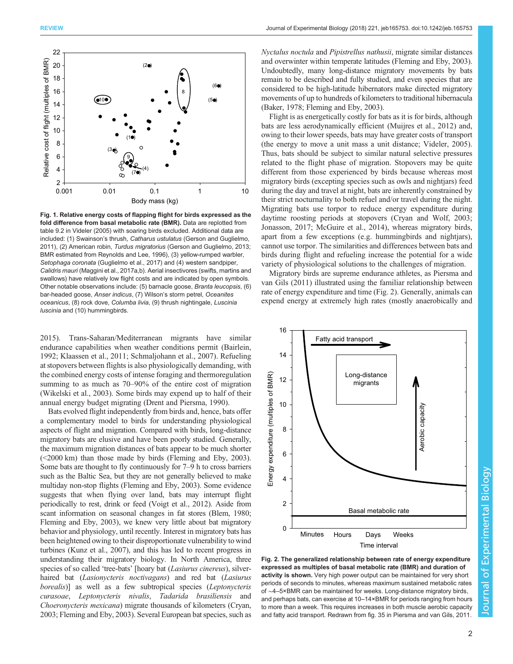<span id="page-1-0"></span>

Fig. 1. Relative energy costs of flapping flight for birds expressed as the fold difference from basal metabolic rate (BMR). Data are replotted from table 9.2 in [Videler \(2005\)](#page-15-0) with soaring birds excluded. Additional data are included: (1) Swainson's thrush, Catharus ustulatus [\(Gerson and Guglielmo,](#page-13-0) [2011\)](#page-13-0), (2) American robin, Turdus migratorius [\(Gerson and Guglielmo, 2013](#page-13-0); BMR estimated from [Reynolds and Lee, 1996\)](#page-15-0), (3) yellow-rumped warbler, Setophaga coronata [\(Guglielmo et al., 2017\)](#page-13-0) and (4) western sandpiper, Calidris mauri [\(Maggini et al., 2017](#page-14-0)a,b). Aerial insectivores (swifts, martins and swallows) have relatively low flight costs and are indicated by open symbols. Other notable observations include: (5) barnacle goose, Branta leucopsis, (6) bar-headed goose, Anser indicus, (7) Wilson's storm petrel, Oceanites oceanicus, (8) rock dove, Columba livia, (9) thrush nightingale, Luscinia luscinia and (10) hummingbirds.

[2015](#page-12-0)). Trans-Saharan/Mediterranean migrants have similar endurance capabilities when weather conditions permit [\(Bairlein,](#page-12-0) [1992](#page-12-0); [Klaassen et al., 2011;](#page-13-0) [Schmaljohann et al., 2007](#page-15-0)). Refueling at stopovers between flights is also physiologically demanding, with the combined energy costs of intense foraging and thermoregulation summing to as much as 70–90% of the entire cost of migration [\(Wikelski et al., 2003](#page-15-0)). Some birds may expend up to half of their annual energy budget migrating ([Drent and Piersma, 1990\)](#page-12-0).

Bats evolved flight independently from birds and, hence, bats offer a complementary model to birds for understanding physiological aspects of flight and migration. Compared with birds, long-distance migratory bats are elusive and have been poorly studied. Generally, the maximum migration distances of bats appear to be much shorter (<2000 km) than those made by birds ([Fleming and Eby, 2003\)](#page-13-0). Some bats are thought to fly continuously for 7–9 h to cross barriers such as the Baltic Sea, but they are not generally believed to make multiday non-stop flights [\(Fleming and Eby, 2003](#page-13-0)). Some evidence suggests that when flying over land, bats may interrupt flight periodically to rest, drink or feed ([Voigt et al., 2012](#page-15-0)). Aside from scant information on seasonal changes in fat stores [\(Blem, 1980](#page-12-0); [Fleming and Eby, 2003\)](#page-13-0), we knew very little about bat migratory behavior and physiology, until recently. Interest in migratory bats has been heightened owing to their disproportionate vulnerability to wind turbines [\(Kunz et al., 2007\)](#page-13-0), and this has led to recent progress in understanding their migratory biology. In North America, three species of so called 'tree-bats' [hoary bat *(Lasiurus cinereus)*, silverhaired bat (*Lasionycteris noctivagans*) and red bat (*Lasiurus* borealis)] as well as a few subtropical species (Leptonycteris curasoae, Leptonycteris nivalis, Tadarida brasiliensis and Choeronycteris mexicana) migrate thousands of kilometers [\(Cryan,](#page-12-0) [2003;](#page-12-0) [Fleming and Eby, 2003\)](#page-13-0). Several European bat species, such as

Nyctalus noctula and Pipistrellus nathusii, migrate similar distances and overwinter within temperate latitudes [\(Fleming and Eby, 2003\)](#page-13-0). Undoubtedly, many long-distance migratory movements by bats remain to be described and fully studied, and even species that are considered to be high-latitude hibernators make directed migratory movements of up to hundreds of kilometers to traditional hibernacula [\(Baker, 1978;](#page-12-0) [Fleming and Eby, 2003\)](#page-13-0).

Flight is as energetically costly for bats as it is for birds, although bats are less aerodynamically efficient ([Muijres et al., 2012\)](#page-14-0) and, owing to their lower speeds, bats may have greater costs of transport (the energy to move a unit mass a unit distance; [Videler, 2005\)](#page-15-0). Thus, bats should be subject to similar natural selective pressures related to the flight phase of migration. Stopovers may be quite different from those experienced by birds because whereas most migratory birds (excepting species such as owls and nightjars) feed during the day and travel at night, bats are inherently constrained by their strict nocturnality to both refuel and/or travel during the night. Migrating bats use torpor to reduce energy expenditure during daytime roosting periods at stopovers ([Cryan and Wolf, 2003](#page-12-0); [Jonasson, 2017](#page-13-0); [McGuire et al., 2014](#page-14-0)), whereas migratory birds, apart from a few exceptions (e.g. hummingbirds and nightjars), cannot use torpor. The similarities and differences between bats and birds during flight and refueling increase the potential for a wide variety of physiological solutions to the challenges of migration.

Migratory birds are supreme endurance athletes, as [Piersma and](#page-14-0) [van Gils \(2011\)](#page-14-0) illustrated using the familiar relationship between rate of energy expenditure and time (Fig. 2). Generally, animals can expend energy at extremely high rates (mostly anaerobically and



Fig. 2. The generalized relationship between rate of energy expenditure expressed as multiples of basal metabolic rate (BMR) and duration of activity is shown. Very high power output can be maintained for very short periods of seconds to minutes, whereas maximum sustained metabolic rates of ∼4–5×BMR can be maintained for weeks. Long-distance migratory birds, and perhaps bats, can exercise at 10–14×BMR for periods ranging from hours to more than a week. This requires increases in both muscle aerobic capacity and fatty acid transport. Redrawn from fig. 35 in [Piersma and van Gils, 2011](#page-14-0).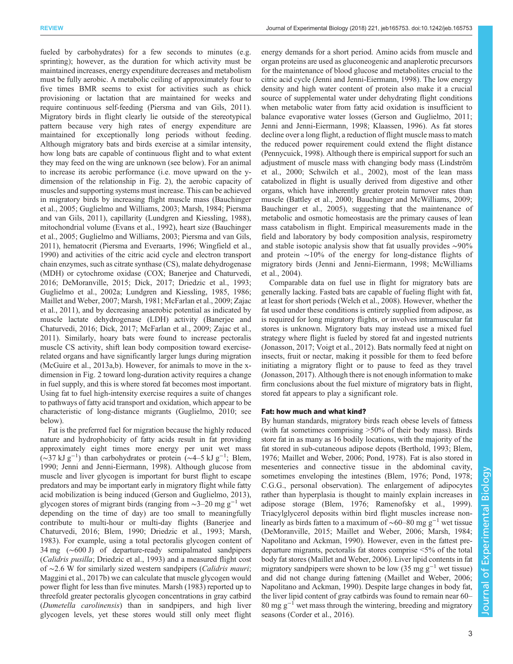fueled by carbohydrates) for a few seconds to minutes (e.g. sprinting); however, as the duration for which activity must be maintained increases, energy expenditure decreases and metabolism must be fully aerobic. A metabolic ceiling of approximately four to five times BMR seems to exist for activities such as chick provisioning or lactation that are maintained for weeks and require continuous self-feeding [\(Piersma and van Gils, 2011\)](#page-14-0). Migratory birds in flight clearly lie outside of the stereotypical pattern because very high rates of energy expenditure are maintained for exceptionally long periods without feeding. Although migratory bats and birds exercise at a similar intensity, how long bats are capable of continuous flight and to what extent they may feed on the wing are unknown (see below). For an animal to increase its aerobic performance (i.e. move upward on the ydimension of the relationship in [Fig. 2](#page-1-0)), the aerobic capacity of muscles and supporting systems must increase. This can be achieved in migratory birds by increasing flight muscle mass [\(Bauchinger](#page-12-0) [et al., 2005](#page-12-0); [Guglielmo and Williams, 2003;](#page-13-0) [Marsh, 1984; Piersma](#page-14-0) [and van Gils, 2011](#page-14-0)), capillarity ([Lundgren and Kiessling, 1988\)](#page-14-0), mitochondrial volume ([Evans et al., 1992](#page-13-0)), heart size [\(Bauchinger](#page-12-0) [et al., 2005](#page-12-0); [Guglielmo and Williams, 2003](#page-13-0); [Piersma and van Gils,](#page-14-0) [2011](#page-14-0)), hematocrit [\(Piersma and Everaarts, 1996;](#page-14-0) [Wingfield et al.,](#page-15-0) [1990](#page-15-0)) and activities of the citric acid cycle and electron transport chain enzymes, such as citrate synthase (CS), malate dehydrogenase (MDH) or cytochrome oxidase (COX; [Banerjee and Chaturvedi,](#page-12-0) [2016](#page-12-0); [DeMoranville, 2015](#page-12-0); [Dick, 2017; Driedzic et al., 1993](#page-12-0); [Guglielmo et al., 2002a](#page-13-0); [Lundgren and Kiessling, 1985](#page-14-0), [1986](#page-14-0); [Maillet and Weber, 2007](#page-14-0); [Marsh, 1981; McFarlan et al., 2009](#page-14-0); [Zajac](#page-15-0) [et al., 2011](#page-15-0)), and by decreasing anaerobic potential as indicated by muscle lactate dehydrogenase (LDH) activity [\(Banerjee and](#page-12-0) [Chaturvedi, 2016; Dick, 2017;](#page-12-0) [McFarlan et al., 2009;](#page-14-0) [Zajac et al.,](#page-15-0) [2011](#page-15-0)). Similarly, hoary bats were found to increase pectoralis muscle CS activity, shift lean body composition toward exerciserelated organs and have significantly larger lungs during migration [\(McGuire et al., 2013a,b\)](#page-14-0). However, for animals to move in the xdimension in [Fig. 2](#page-1-0) toward long-duration activity requires a change in fuel supply, and this is where stored fat becomes most important. Using fat to fuel high-intensity exercise requires a suite of changes to pathways of fatty acid transport and oxidation, which appear to be characteristic of long-distance migrants ([Guglielmo, 2010](#page-13-0); see below).

Fat is the preferred fuel for migration because the highly reduced nature and hydrophobicity of fatty acids result in fat providing approximately eight times more energy per unit wet mass (~37 kJ g<sup>-1</sup>) than carbohydrates or protein (~4–5 kJ g<sup>-1</sup>; [Blem,](#page-12-0) [1990](#page-12-0); [Jenni and Jenni-Eiermann, 1998\)](#page-13-0). Although glucose from muscle and liver glycogen is important for burst flight to escape predators and may be important early in migratory flight while fatty acid mobilization is being induced [\(Gerson and Guglielmo, 2013\)](#page-13-0), glycogen stores of migrant birds (ranging from  $\sim$ 3–20 mg g<sup>-1</sup> wet depending on the time of day) are too small to meaningfully contribute to multi-hour or multi-day flights [\(Banerjee and](#page-12-0) [Chaturvedi, 2016](#page-12-0); [Blem, 1990; Driedzic et al., 1993;](#page-12-0) [Marsh,](#page-14-0) [1983](#page-14-0)). For example, using a total pectoralis glycogen content of 34 mg (∼600 J) of departure-ready semipalmated sandpipers (Calidris pusilla; [Driedzic et al., 1993\)](#page-12-0) and a measured flight cost of ∼2.6 W for similarly sized western sandpipers (Calidris mauri; [Maggini et al., 2017b](#page-14-0)) we can calculate that muscle glycogen would power flight for less than five minutes. [Marsh \(1983\)](#page-14-0) reported up to threefold greater pectoralis glycogen concentrations in gray catbird (Dumetella carolinensis) than in sandpipers, and high liver glycogen levels, yet these stores would still only meet flight

energy demands for a short period. Amino acids from muscle and organ proteins are used as gluconeogenic and anaplerotic precursors for the maintenance of blood glucose and metabolites crucial to the citric acid cycle [\(Jenni and Jenni-Eiermann, 1998\)](#page-13-0). The low energy density and high water content of protein also make it a crucial source of supplemental water under dehydrating flight conditions when metabolic water from fatty acid oxidation is insufficient to balance evaporative water losses [\(Gerson and Guglielmo, 2011](#page-13-0); [Jenni and Jenni-Eiermann, 1998; Klaassen, 1996\)](#page-13-0). As fat stores decline over a long flight, a reduction of flight muscle mass to match the reduced power requirement could extend the flight distance [\(Pennycuick, 1998](#page-14-0)). Although there is empirical support for such an adjustment of muscle mass with changing body mass ([Lindström](#page-13-0) [et al., 2000;](#page-13-0) [Schwilch et al., 2002](#page-15-0)), most of the lean mass catabolized in flight is usually derived from digestive and other organs, which have inherently greater protein turnover rates than muscle [\(Battley et al., 2000; Bauchinger and McWilliams, 2009](#page-12-0); [Bauchinger et al., 2005](#page-12-0)), suggesting that the maintenance of metabolic and osmotic homeostasis are the primary causes of lean mass catabolism in flight. Empirical measurements made in the field and laboratory by body composition analysis, respirometry and stable isotopic analysis show that fat usually provides ∼90% and protein ∼10% of the energy for long-distance flights of migratory birds [\(Jenni and Jenni-Eiermann, 1998;](#page-13-0) [McWilliams](#page-14-0) [et al., 2004\)](#page-14-0).

Comparable data on fuel use in flight for migratory bats are generally lacking. Fasted bats are capable of fueling flight with fat, at least for short periods [\(Welch et al., 2008](#page-15-0)). However, whether the fat used under these conditions is entirely supplied from adipose, as is required for long migratory flights, or involves intramuscular fat stores is unknown. Migratory bats may instead use a mixed fuel strategy where flight is fueled by stored fat and ingested nutrients [\(Jonasson, 2017;](#page-13-0) [Voigt et al., 2012\)](#page-15-0). Bats normally feed at night on insects, fruit or nectar, making it possible for them to feed before initiating a migratory flight or to pause to feed as they travel [\(Jonasson, 2017](#page-13-0)). Although there is not enough information to make firm conclusions about the fuel mixture of migratory bats in flight, stored fat appears to play a significant role.

## Fat: how much and what kind?

By human standards, migratory birds reach obese levels of fatness (with fat sometimes comprising >50% of their body mass). Birds store fat in as many as 16 bodily locations, with the majority of the fat stored in sub-cutaneous adipose depots ([Berthold, 1993; Blem,](#page-12-0) [1976;](#page-12-0) [Maillet and Weber, 2006](#page-14-0); [Pond, 1978](#page-14-0)). Fat is also stored in mesenteries and connective tissue in the abdominal cavity, sometimes enveloping the intestines [\(Blem, 1976;](#page-12-0) [Pond, 1978](#page-14-0); C.G.G., personal observation). The enlargement of adipocytes rather than hyperplasia is thought to mainly explain increases in adipose storage [\(Blem, 1976;](#page-12-0) [Ramenofsky et al., 1999\)](#page-15-0). Triacylglycerol deposits within bird flight muscles increase nonlinearly as birds fatten to a maximum of ∼60–80 mg g−<sup>1</sup> wet tissue [\(DeMoranville, 2015](#page-12-0); [Maillet and Weber, 2006](#page-14-0); [Marsh, 1984](#page-14-0); [Napolitano and Ackman, 1990](#page-14-0)). However, even in the fattest predeparture migrants, pectoralis fat stores comprise <5% of the total body fat stores ([Maillet and Weber, 2006](#page-14-0)). Liver lipid contents in fat migratory sandpipers were shown to be low (35 mg  $g^{-1}$  wet tissue) and did not change during fattening [\(Maillet and Weber, 2006](#page-14-0); [Napolitano and Ackman, 1990](#page-14-0)). Despite large changes in body fat, the liver lipid content of gray catbirds was found to remain near 60– 80 mg g−<sup>1</sup> wet mass through the wintering, breeding and migratory seasons ([Corder et al., 2016\)](#page-12-0).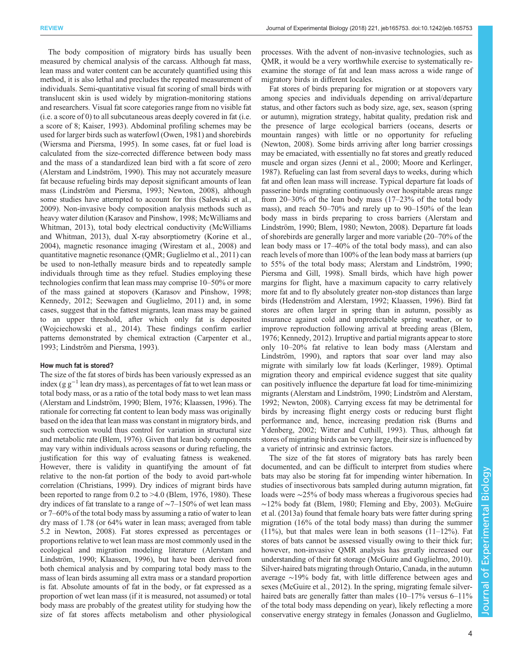The body composition of migratory birds has usually been measured by chemical analysis of the carcass. Although fat mass, lean mass and water content can be accurately quantified using this method, it is also lethal and precludes the repeated measurement of individuals. Semi-quantitative visual fat scoring of small birds with translucent skin is used widely by migration-monitoring stations and researchers. Visual fat score categories range from no visible fat (i.e. a score of 0) to all subcutaneous areas deeply covered in fat (i.e. a score of 8; [Kaiser, 1993\)](#page-13-0). Abdominal profiling schemes may be used for larger birds such as waterfowl [\(Owen, 1981\)](#page-14-0) and shorebirds [\(Wiersma and Piersma, 1995\)](#page-15-0). In some cases, fat or fuel load is calculated from the size-corrected difference between body mass and the mass of a standardized lean bird with a fat score of zero [\(Alerstam and Lindström, 1990](#page-12-0)). This may not accurately measure fat because refueling birds may deposit significant amounts of lean mass ([Lindström and Piersma, 1993](#page-13-0); [Newton, 2008\)](#page-14-0), although some studies have attempted to account for this ([Salewski et al.,](#page-15-0) [2009](#page-15-0)). Non-invasive body composition analysis methods such as heavy water dilution ([Karasov and Pinshow, 1998](#page-13-0); [McWilliams and](#page-14-0) [Whitman, 2013](#page-14-0)), total body electrical conductivity [\(McWilliams](#page-14-0) [and Whitman, 2013\)](#page-14-0), dual X-ray absorptiometry [\(Korine et al.,](#page-13-0) [2004](#page-13-0)), magnetic resonance imaging [\(Wirestam et al., 2008](#page-15-0)) and quantitative magnetic resonance (QMR; [Guglielmo et al., 2011\)](#page-13-0) can be used to non-lethally measure birds and to repeatedly sample individuals through time as they refuel. Studies employing these technologies confirm that lean mass may comprise 10–50% or more of the mass gained at stopovers ([Karasov and Pinshow, 1998](#page-13-0); [Kennedy, 2012;](#page-13-0) [Seewagen and Guglielmo, 2011\)](#page-15-0) and, in some cases, suggest that in the fattest migrants, lean mass may be gained to an upper threshold, after which only fat is deposited [\(Wojciechowski et al., 2014](#page-15-0)). These findings confirm earlier patterns demonstrated by chemical extraction [\(Carpenter et al.,](#page-12-0) [1993](#page-12-0); [Lindström and Piersma, 1993\)](#page-13-0).

## How much fat is stored?

The size of the fat stores of birds has been variously expressed as an index (g  $g^{-1}$  lean dry mass), as percentages of fat to wet lean mass or total body mass, or as a ratio of the total body mass to wet lean mass [\(Alerstam and Lindström, 1990](#page-12-0); [Blem, 1976](#page-12-0); [Klaassen, 1996\)](#page-13-0). The rationale for correcting fat content to lean body mass was originally based on the idea that lean mass was constant in migratory birds, and such correction would thus control for variation in structural size and metabolic rate [\(Blem, 1976](#page-12-0)). Given that lean body components may vary within individuals across seasons or during refueling, the justification for this way of evaluating fatness is weakened. However, there is validity in quantifying the amount of fat relative to the non-fat portion of the body to avoid part-whole correlation ([Christians, 1999](#page-12-0)). Dry indices of migrant birds have been reported to range from  $0.2$  to  $>4.0$  ([Blem, 1976, 1980\)](#page-12-0). These dry indices of fat translate to a range of ∼7–150% of wet lean mass or 7–60% of the total body mass by assuming a ratio of water to lean dry mass of 1.78 (or 64% water in lean mass; averaged from table 5.2 in [Newton, 2008\)](#page-14-0). Fat stores expressed as percentages or proportions relative to wet lean mass are most commonly used in the ecological and migration modeling literature ([Alerstam and](#page-12-0) [Lindström, 1990;](#page-12-0) [Klaassen, 1996](#page-13-0)), but have been derived from both chemical analysis and by comparing total body mass to the mass of lean birds assuming all extra mass or a standard proportion is fat. Absolute amounts of fat in the body, or fat expressed as a proportion of wet lean mass (if it is measured, not assumed) or total body mass are probably of the greatest utility for studying how the size of fat stores affects metabolism and other physiological

processes. With the advent of non-invasive technologies, such as QMR, it would be a very worthwhile exercise to systematically reexamine the storage of fat and lean mass across a wide range of migratory birds in different locales.

Fat stores of birds preparing for migration or at stopovers vary among species and individuals depending on arrival/departure status, and other factors such as body size, age, sex, season (spring or autumn), migration strategy, habitat quality, predation risk and the presence of large ecological barriers (oceans, deserts or mountain ranges) with little or no opportunity for refueling [\(Newton, 2008\)](#page-14-0). Some birds arriving after long barrier crossings may be emaciated, with essentially no fat stores and greatly reduced muscle and organ sizes ([Jenni et al., 2000;](#page-13-0) [Moore and Kerlinger,](#page-14-0) [1987\)](#page-14-0). Refueling can last from several days to weeks, during which fat and often lean mass will increase. Typical departure fat loads of passerine birds migrating continuously over hospitable areas range from 20–30% of the lean body mass (17–23% of the total body mass), and reach 50–70% and rarely up to 90–150% of the lean body mass in birds preparing to cross barriers ([Alerstam and](#page-12-0) [Lindström, 1990](#page-12-0); [Blem, 1980;](#page-12-0) [Newton, 2008\)](#page-14-0). Departure fat loads of shorebirds are generally larger and more variable (20–70% of the lean body mass or 17–40% of the total body mass), and can also reach levels of more than 100% of the lean body mass at barriers (up to 55% of the total body mass; [Alerstam and Lindström, 1990](#page-12-0); [Piersma and Gill, 1998](#page-14-0)). Small birds, which have high power margins for flight, have a maximum capacity to carry relatively more fat and to fly absolutely greater non-stop distances than large birds [\(Hedenström and Alerstam, 1992; Klaassen, 1996\)](#page-13-0). Bird fat stores are often larger in spring than in autumn, possibly as insurance against cold and unpredictable spring weather, or to improve reproduction following arrival at breeding areas [\(Blem,](#page-12-0) [1976;](#page-12-0) [Kennedy, 2012\)](#page-13-0). Irruptive and partial migrants appear to store only 10–20% fat relative to lean body mass [\(Alerstam and](#page-12-0) [Lindström, 1990](#page-12-0)), and raptors that soar over land may also migrate with similarly low fat loads ([Kerlinger, 1989\)](#page-13-0). Optimal migration theory and empirical evidence suggest that site quality can positively influence the departure fat load for time-minimizing migrants [\(Alerstam and Lindström, 1990](#page-12-0); [Lindström and Alerstam,](#page-13-0) [1992;](#page-13-0) [Newton, 2008\)](#page-14-0). Carrying excess fat may be detrimental for birds by increasing flight energy costs or reducing burst flight performance and, hence, increasing predation risk [\(Burns and](#page-12-0) [Ydenberg, 2002](#page-12-0); [Witter and Cuthill, 1993\)](#page-15-0). Thus, although fat stores of migrating birds can be very large, their size is influenced by a variety of intrinsic and extrinsic factors.

The size of the fat stores of migratory bats has rarely been documented, and can be difficult to interpret from studies where bats may also be storing fat for impending winter hibernation. In studies of insectivorous bats sampled during autumn migration, fat loads were ∼25% of body mass whereas a frugivorous species had ∼12% body fat [\(Blem, 1980](#page-12-0); [Fleming and Eby, 2003](#page-13-0)). [McGuire](#page-14-0) [et al. \(2013a](#page-14-0)) found that female hoary bats were fatter during spring migration (16% of the total body mass) than during the summer  $(11\%)$ , but that males were lean in both seasons  $(11-12\%)$ . Fat stores of bats cannot be assessed visually owing to their thick fur; however, non-invasive QMR analysis has greatly increased our understanding of their fat storage ([McGuire and Guglielmo, 2010\)](#page-14-0). Silver-haired bats migrating through Ontario, Canada, in the autumn average ∼19% body fat, with little difference between ages and sexes [\(McGuire et al., 2012\)](#page-14-0). In the spring, migrating female silverhaired bats are generally fatter than males (10–17% versus 6–11%) of the total body mass depending on year), likely reflecting a more conservative energy strategy in females ([Jonasson and Guglielmo,](#page-13-0)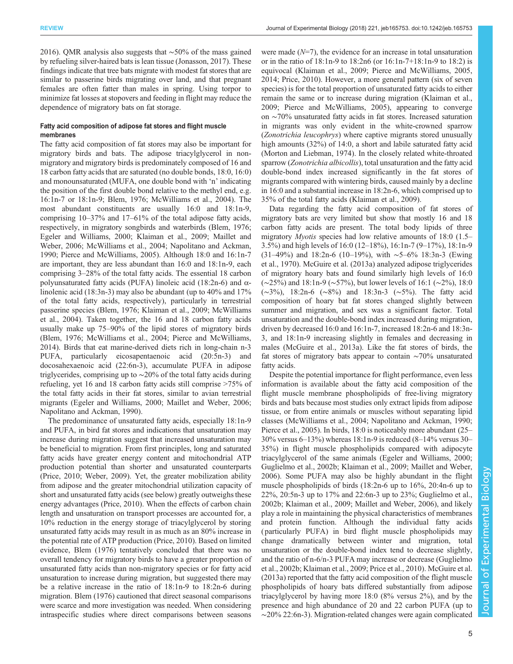[2016](#page-13-0)). QMR analysis also suggests that ∼50% of the mass gained by refueling silver-haired bats is lean tissue ([Jonasson, 2017](#page-13-0)). These findings indicate that tree bats migrate with modest fat stores that are similar to passerine birds migrating over land, and that pregnant females are often fatter than males in spring. Using torpor to minimize fat losses at stopovers and feeding in flight may reduce the dependence of migratory bats on fat storage.

# Fatty acid composition of adipose fat stores and flight muscle membranes

The fatty acid composition of fat stores may also be important for migratory birds and bats. The adipose triacylglycerol in nonmigratory and migratory birds is predominately composed of 16 and 18 carbon fatty acids that are saturated (no double bonds, 18:0, 16:0) and monounsaturated (MUFA, one double bond with 'n' indicating the position of the first double bond relative to the methyl end, e.g. 16:1n-7 or 18:1n-9; [Blem, 1976](#page-12-0); [McWilliams et al., 2004](#page-14-0)). The most abundant constituents are usually 16:0 and 18:1n-9, comprising 10–37% and 17–61% of the total adipose fatty acids, respectively, in migratory songbirds and waterbirds [\(Blem, 1976](#page-12-0); [Egeler and Williams, 2000; Klaiman et al., 2009](#page-13-0); [Maillet and](#page-14-0) [Weber, 2006](#page-14-0); [McWilliams et al., 2004](#page-14-0); [Napolitano and Ackman,](#page-14-0) [1990](#page-14-0); [Pierce and McWilliams, 2005\)](#page-14-0). Although 18:0 and 16:1n-7 are important, they are less abundant than 16:0 and 18:1n-9, each comprising 3–28% of the total fatty acids. The essential 18 carbon polyunsaturated fatty acids (PUFA) linoleic acid (18:2n-6) and  $α$ linolenic acid (18:3n-3) may also be abundant (up to 40% and 17% of the total fatty acids, respectively), particularly in terrestrial passerine species [\(Blem, 1976;](#page-12-0) [Klaiman et al., 2009;](#page-13-0) [McWilliams](#page-14-0) [et al., 2004\)](#page-14-0). Taken together, the 16 and 18 carbon fatty acids usually make up 75–90% of the lipid stores of migratory birds [\(Blem, 1976;](#page-12-0) [McWilliams et al., 2004](#page-14-0); [Pierce and McWilliams,](#page-14-0) [2014](#page-14-0)). Birds that eat marine-derived diets rich in long-chain n-3 PUFA, particularly eicosapentaenoic acid (20:5n-3) and docosahexaenoic acid (22:6n-3), accumulate PUFA in adipose triglycerides, comprising up to ∼20% of the total fatty acids during refueling, yet 16 and 18 carbon fatty acids still comprise >75% of the total fatty acids in their fat stores, similar to avian terrestrial migrants ([Egeler and Williams, 2000;](#page-13-0) [Maillet and Weber, 2006](#page-14-0); [Napolitano and Ackman, 1990\)](#page-14-0).

The predominance of unsaturated fatty acids, especially 18:1n-9 and PUFA, in bird fat stores and indications that unsaturation may increase during migration suggest that increased unsaturation may be beneficial to migration. From first principles, long and saturated fatty acids have greater energy content and mitochondrial ATP production potential than shorter and unsaturated counterparts [\(Price, 2010](#page-14-0); [Weber, 2009\)](#page-15-0). Yet, the greater mobilization ability from adipose and the greater mitochondrial utilization capacity of short and unsaturated fatty acids (see below) greatly outweighs these energy advantages [\(Price, 2010\)](#page-14-0). When the effects of carbon chain length and unsaturation on transport processes are accounted for, a 10% reduction in the energy storage of triacylglycerol by storing unsaturated fatty acids may result in as much as an 80% increase in the potential rate of ATP production ([Price, 2010](#page-14-0)). Based on limited evidence, [Blem \(1976\)](#page-12-0) tentatively concluded that there was no overall tendency for migratory birds to have a greater proportion of unsaturated fatty acids than non-migratory species or for fatty acid unsaturation to increase during migration, but suggested there may be a relative increase in the ratio of 18:1n-9 to 18:2n-6 during migration. [Blem \(1976\)](#page-12-0) cautioned that direct seasonal comparisons were scarce and more investigation was needed. When considering intraspecific studies where direct comparisons between seasons

were made  $(N=7)$ , the evidence for an increase in total unsaturation or in the ratio of 18:1n-9 to 18:2n6 (or 16:1n-7+18:1n-9 to 18:2) is equivocal ([Klaiman et al., 2009;](#page-13-0) [Pierce and McWilliams, 2005,](#page-14-0) [2014; Price, 2010\)](#page-14-0). However, a more general pattern (six of seven species) is for the total proportion of unsaturated fatty acids to either remain the same or to increase during migration [\(Klaiman et al.,](#page-13-0) [2009;](#page-13-0) [Pierce and McWilliams, 2005](#page-14-0)), appearing to converge on ∼70% unsaturated fatty acids in fat stores. Increased saturation in migrants was only evident in the white-crowned sparrow (Zonotrichia leucophrys) where captive migrants stored unusually high amounts (32%) of 14:0, a short and labile saturated fatty acid [\(Morton and Liebman, 1974\)](#page-14-0). In the closely related white-throated sparrow (Zonotrichia albicollis), total unsaturation and the fatty acid double-bond index increased significantly in the fat stores of migrants compared with wintering birds, caused mainly by a decline in 16:0 and a substantial increase in 18:2n-6, which comprised up to 35% of the total fatty acids [\(Klaiman et al., 2009\)](#page-13-0).

Data regarding the fatty acid composition of fat stores of migratory bats are very limited but show that mostly 16 and 18 carbon fatty acids are present. The total body lipids of three migratory *Myotis* species had low relative amounts of 18:0 (1.5– 3.5%) and high levels of 16:0 (12–18%), 16:1n-7 (9–17%), 18:1n-9 (31–49%) and 18:2n-6 (10–19%), with ∼5–6% 18:3n-3 [\(Ewing](#page-13-0) [et al., 1970\)](#page-13-0). [McGuire et al. \(2013a\)](#page-14-0) analyzed adipose triglycerides of migratory hoary bats and found similarly high levels of 16:0 (∼25%) and 18:1n-9 (∼57%), but lower levels of 16:1 (∼2%), 18:0 (∼3%), 18:2n-6 (∼8%) and 18:3n-3 (∼5%). The fatty acid composition of hoary bat fat stores changed slightly between summer and migration, and sex was a significant factor. Total unsaturation and the double-bond index increased during migration, driven by decreased 16:0 and 16:1n-7, increased 18:2n-6 and 18:3n-3, and 18:1n-9 increasing slightly in females and decreasing in males [\(McGuire et al., 2013a\)](#page-14-0). Like the fat stores of birds, the fat stores of migratory bats appear to contain ∼70% unsaturated fatty acids.

Despite the potential importance for flight performance, even less information is available about the fatty acid composition of the flight muscle membrane phospholipids of free-living migratory birds and bats because most studies only extract lipids from adipose tissue, or from entire animals or muscles without separating lipid classes [\(McWilliams et al., 2004](#page-14-0); [Napolitano and Ackman, 1990](#page-14-0); [Pierce et al., 2005\)](#page-14-0). In birds, 18:0 is noticeably more abundant (25– 30% versus 6–13%) whereas 18:1n-9 is reduced (8–14% versus 30– 35%) in flight muscle phospholipids compared with adipocyte triacylglycerol of the same animals [\(Egeler and Williams, 2000](#page-13-0); [Guglielmo et al., 2002b](#page-13-0); [Klaiman et al., 2009;](#page-13-0) [Maillet and Weber,](#page-14-0) [2006\)](#page-14-0). Some PUFA may also be highly abundant in the flight muscle phospholipids of birds (18:2n-6 up to 16%, 20:4n-6 up to 22%, 20:5n-3 up to 17% and 22:6n-3 up to 23%; [Guglielmo et al.,](#page-13-0) [2002b; Klaiman et al., 2009;](#page-13-0) [Maillet and Weber, 2006](#page-14-0)), and likely play a role in maintaining the physical characteristics of membranes and protein function. Although the individual fatty acids ( particularly PUFA) in bird flight muscle phospholipids may change dramatically between winter and migration, total unsaturation or the double-bond index tend to decrease slightly, and the ratio of n-6/n-3 PUFA may increase or decrease ([Guglielmo](#page-13-0) [et al., 2002b; Klaiman et al., 2009](#page-13-0); [Price et al., 2010](#page-14-0)). [McGuire et al.](#page-14-0) [\(2013a](#page-14-0)) reported that the fatty acid composition of the flight muscle phospholipids of hoary bats differed substantially from adipose triacylglycerol by having more 18:0 (8% versus 2%), and by the presence and high abundance of 20 and 22 carbon PUFA (up to ∼20% 22:6n-3). Migration-related changes were again complicated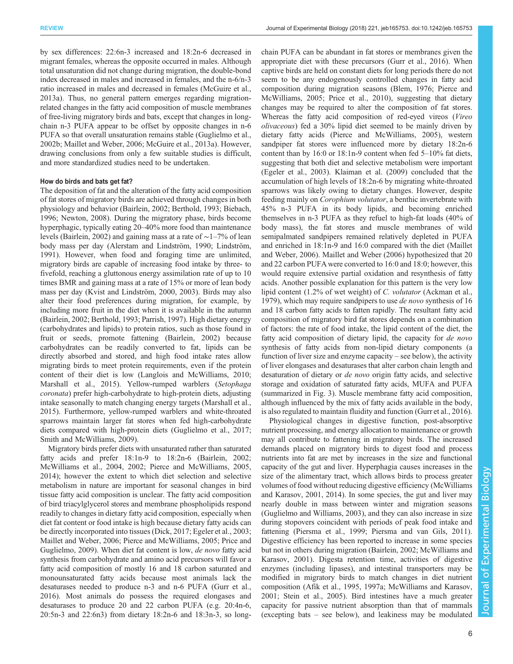by sex differences: 22:6n-3 increased and 18:2n-6 decreased in migrant females, whereas the opposite occurred in males. Although total unsaturation did not change during migration, the double-bond index decreased in males and increased in females, and the n-6/n-3 ratio increased in males and decreased in females [\(McGuire et al.,](#page-14-0) [2013a](#page-14-0)). Thus, no general pattern emerges regarding migrationrelated changes in the fatty acid composition of muscle membranes of free-living migratory birds and bats, except that changes in longchain n-3 PUFA appear to be offset by opposite changes in n-6 PUFA so that overall unsaturation remains stable ([Guglielmo et al.,](#page-13-0) [2002b;](#page-13-0) [Maillet and Weber, 2006; McGuire et al., 2013a\)](#page-14-0). However, drawing conclusions from only a few suitable studies is difficult, and more standardized studies need to be undertaken.

## How do birds and bats get fat?

The deposition of fat and the alteration of the fatty acid composition of fat stores of migratory birds are achieved through changes in both physiology and behavior [\(Bairlein, 2002](#page-12-0); [Berthold, 1993; Biebach,](#page-12-0) [1996](#page-12-0); [Newton, 2008](#page-14-0)). During the migratory phase, birds become hyperphagic, typically eating 20–40% more food than maintenance levels [\(Bairlein, 2002\)](#page-12-0) and gaining mass at a rate of ∼1–7% of lean body mass per day [\(Alerstam and Lindström, 1990;](#page-12-0) [Lindström,](#page-13-0) [1991](#page-13-0)). However, when food and foraging time are unlimited, migratory birds are capable of increasing food intake by three- to fivefold, reaching a gluttonous energy assimilation rate of up to 10 times BMR and gaining mass at a rate of 15% or more of lean body mass per day ([Kvist and Lindström, 2000, 2003\)](#page-13-0). Birds may also alter their food preferences during migration, for example, by including more fruit in the diet when it is available in the autumn [\(Bairlein, 2002](#page-12-0); [Berthold, 1993;](#page-12-0) [Parrish, 1997\)](#page-14-0). High dietary energy (carbohydrates and lipids) to protein ratios, such as those found in fruit or seeds, promote fattening [\(Bairlein, 2002](#page-12-0)) because carbohydrates can be readily converted to fat, lipids can be directly absorbed and stored, and high food intake rates allow migrating birds to meet protein requirements, even if the protein content of their diet is low ([Langlois and McWilliams, 2010](#page-13-0); [Marshall et al., 2015](#page-14-0)). Yellow-rumped warblers (Setophaga coronata) prefer high-carbohydrate to high-protein diets, adjusting intake seasonally to match changing energy targets ([Marshall et al.,](#page-14-0) [2015](#page-14-0)). Furthermore, yellow-rumped warblers and white-throated sparrows maintain larger fat stores when fed high-carbohydrate diets compared with high-protein diets [\(Guglielmo et al., 2017](#page-13-0); [Smith and McWilliams, 2009](#page-15-0)).

Migratory birds prefer diets with unsaturated rather than saturated fatty acids and prefer 18:1n-9 to 18:2n-6 ([Bairlein, 2002](#page-12-0); [McWilliams et al., 2004, 2002; Pierce and McWilliams, 2005,](#page-14-0) [2014](#page-14-0)); however the extent to which diet selection and selective metabolism in nature are important for seasonal changes in bird tissue fatty acid composition is unclear. The fatty acid composition of bird triacylglycerol stores and membrane phospholipids respond readily to changes in dietary fatty acid composition, especially when diet fat content or food intake is high because dietary fatty acids can be directly incorporated into tissues [\(Dick, 2017;](#page-12-0) [Egeler et al., 2003](#page-13-0); [Maillet and Weber, 2006](#page-14-0); [Pierce and McWilliams, 2005; Price and](#page-14-0) [Guglielmo, 2009](#page-14-0)). When diet fat content is low, de novo fatty acid synthesis from carbohydrate and amino acid precursors will favor a fatty acid composition of mostly 16 and 18 carbon saturated and monounsaturated fatty acids because most animals lack the desaturases needed to produce n-3 and n-6 PUFA ([Gurr et al.,](#page-13-0) [2016](#page-13-0)). Most animals do possess the required elongases and desaturases to produce 20 and 22 carbon PUFA (e.g. 20:4n-6, 20:5n-3 and 22:6n3) from dietary 18:2n-6 and 18:3n-3, so longchain PUFA can be abundant in fat stores or membranes given the appropriate diet with these precursors ([Gurr et al., 2016](#page-13-0)). When captive birds are held on constant diets for long periods there do not seem to be any endogenously controlled changes in fatty acid composition during migration seasons [\(Blem, 1976;](#page-12-0) [Pierce and](#page-14-0) [McWilliams, 2005](#page-14-0); [Price et al., 2010\)](#page-14-0), suggesting that dietary changes may be required to alter the composition of fat stores. Whereas the fatty acid composition of red-eyed vireos (Vireo olivaceous) fed a 30% lipid diet seemed to be mainly driven by dietary fatty acids [\(Pierce and McWilliams, 2005\)](#page-14-0), western sandpiper fat stores were influenced more by dietary 18:2n-6 content than by 16:0 or 18:1n-9 content when fed 5–10% fat diets, suggesting that both diet and selective metabolism were important [\(Egeler et al., 2003\)](#page-13-0). [Klaiman et al. \(2009\)](#page-13-0) concluded that the accumulation of high levels of 18:2n-6 by migrating white-throated sparrows was likely owing to dietary changes. However, despite feeding mainly on Corophium volutator, a benthic invertebrate with 45% n-3 PUFA in its body lipids, and becoming enriched themselves in n-3 PUFA as they refuel to high-fat loads (40% of body mass), the fat stores and muscle membranes of wild semipalmated sandpipers remained relatively depleted in PUFA and enriched in 18:1n-9 and 16:0 compared with the diet ([Maillet](#page-14-0) [and Weber, 2006\)](#page-14-0). [Maillet and Weber \(2006\)](#page-14-0) hypothesized that 20 and 22 carbon PUFA were converted to 16:0 and 18:0; however, this would require extensive partial oxidation and resynthesis of fatty acids. Another possible explanation for this pattern is the very low lipid content (1.2% of wet weight) of C. volutator [\(Ackman et al.,](#page-12-0) [1979\)](#page-12-0), which may require sandpipers to use de novo synthesis of 16 and 18 carbon fatty acids to fatten rapidly. The resultant fatty acid composition of migratory bird fat stores depends on a combination of factors: the rate of food intake, the lipid content of the diet, the fatty acid composition of dietary lipid, the capacity for *de novo* synthesis of fatty acids from non-lipid dietary components (a function of liver size and enzyme capacity – see below), the activity of liver elongases and desaturases that alter carbon chain length and desaturation of dietary or de novo origin fatty acids, and selective storage and oxidation of saturated fatty acids, MUFA and PUFA (summarized in [Fig. 3](#page-6-0)). Muscle membrane fatty acid composition, although influenced by the mix of fatty acids available in the body, is also regulated to maintain fluidity and function [\(Gurr et al., 2016\)](#page-13-0).

Physiological changes in digestive function, post-absorptive nutrient processing, and energy allocation to maintenance or growth may all contribute to fattening in migratory birds. The increased demands placed on migratory birds to digest food and process nutrients into fat are met by increases in the size and functional capacity of the gut and liver. Hyperphagia causes increases in the size of the alimentary tract, which allows birds to process greater volumes of food without reducing digestive efficiency [\(McWilliams](#page-14-0) [and Karasov, 2001, 2014](#page-14-0)). In some species, the gut and liver may nearly double in mass between winter and migration seasons [\(Guglielmo and Williams, 2003\)](#page-13-0), and they can also increase in size during stopovers coincident with periods of peak food intake and fattening [\(Piersma et al., 1999; Piersma and van Gils, 2011\)](#page-14-0). Digestive efficiency has been reported to increase in some species but not in others during migration ([Bairlein, 2002;](#page-12-0) [McWilliams and](#page-14-0) [Karasov, 2001\)](#page-14-0). Digesta retention time, activities of digestive enzymes (including lipases), and intestinal transporters may be modified in migratory birds to match changes in diet nutrient composition ([Afik et al., 1995](#page-12-0), [1997a;](#page-12-0) [McWilliams and Karasov,](#page-14-0) [2001;](#page-14-0) [Stein et al., 2005](#page-15-0)). Bird intestines have a much greater capacity for passive nutrient absorption than that of mammals (excepting bats – see below), and leakiness may be modulated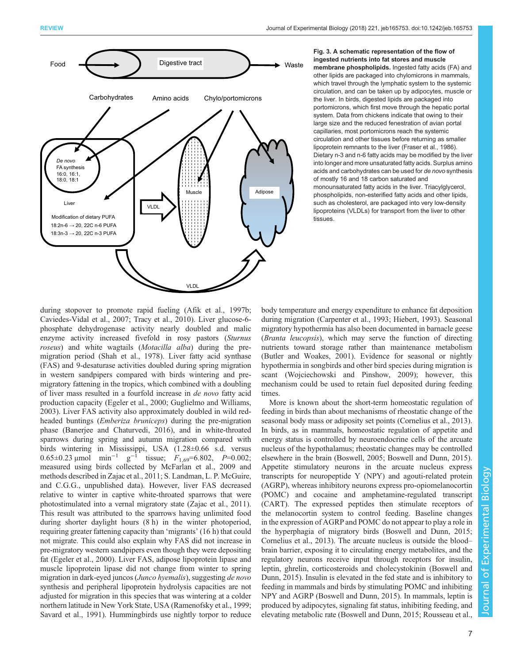<span id="page-6-0"></span>

## Fig. 3. A schematic representation of the flow of ingested nutrients into fat stores and muscle membrane phospholipids. Ingested fatty acids (FA) and other lipids are packaged into chylomicrons in mammals, which travel through the lymphatic system to the systemic circulation, and can be taken up by adipocytes, muscle or the liver. In birds, digested lipids are packaged into portomicrons, which first move through the hepatic portal system. Data from chickens indicate that owing to their large size and the reduced fenestration of avian portal capillaries, most portomicrons reach the systemic circulation and other tissues before returning as smaller lipoprotein remnants to the liver ([Fraser et al., 1986\)](#page-13-0). Dietary n-3 and n-6 fatty acids may be modified by the liver into longer and more unsaturated fatty acids. Surplus amino acids and carbohydrates can be used for de novo synthesis of mostly 16 and 18 carbon saturated and monounsaturated fatty acids in the liver. Triacylglycerol, phospholipids, non-esterified fatty acids and other lipids, such as cholesterol, are packaged into very low-density lipoproteins (VLDLs) for transport from the liver to other tissues.

during stopover to promote rapid fueling ([Afik et al., 1997b](#page-12-0); [Caviedes-Vidal et al., 2007;](#page-12-0) [Tracy et al., 2010\)](#page-15-0). Liver glucose-6 phosphate dehydrogenase activity nearly doubled and malic enzyme activity increased fivefold in rosy pastors (Sturnus roseus) and white wagtails (Motacilla alba) during the premigration period ([Shah et al., 1978](#page-15-0)). Liver fatty acid synthase (FAS) and 9-desaturase activities doubled during spring migration in western sandpipers compared with birds wintering and premigratory fattening in the tropics, which combined with a doubling of liver mass resulted in a fourfold increase in de novo fatty acid production capacity ([Egeler et al., 2000](#page-13-0); [Guglielmo and Williams,](#page-13-0) [2003](#page-13-0)). Liver FAS activity also approximately doubled in wild redheaded buntings (Emberiza bruniceps) during the pre-migration phase ([Banerjee and Chaturvedi, 2016](#page-12-0)), and in white-throated sparrows during spring and autumn migration compared with birds wintering in Mississippi, USA (1.28±0.66 s.d. versus 0.65±0.23 µmol min<sup>-1</sup> g<sup>-1</sup> tissue;  $F_{1,69} = 6.802$ ,  $P = 0.002$ ; measured using birds collected by [McFarlan et al., 2009](#page-14-0) and methods described in [Zajac et al., 2011;](#page-15-0) S. Landman, L. P. McGuire, and C.G.G., unpublished data). However, liver FAS decreased relative to winter in captive white-throated sparrows that were photostimulated into a vernal migratory state ([Zajac et al., 2011\)](#page-15-0). This result was attributed to the sparrows having unlimited food during shorter daylight hours (8 h) in the winter photoperiod, requiring greater fattening capacity than 'migrants' (16 h) that could not migrate. This could also explain why FAS did not increase in pre-migratory western sandpipers even though they were depositing fat ([Egeler et al., 2000](#page-13-0)). Liver FAS, adipose lipoprotein lipase and muscle lipoprotein lipase did not change from winter to spring migration in dark-eyed juncos (Junco hyemalis), suggesting de novo synthesis and peripheral lipoprotein hydrolysis capacities are not adjusted for migration in this species that was wintering at a colder northern latitude in New York State, USA [\(Ramenofsky et al., 1999](#page-15-0); [Savard et al., 1991\)](#page-15-0). Hummingbirds use nightly torpor to reduce body temperature and energy expenditure to enhance fat deposition during migration ([Carpenter et al., 1993](#page-12-0); [Hiebert, 1993](#page-13-0)). Seasonal migratory hypothermia has also been documented in barnacle geese (Branta leucopsis), which may serve the function of directing nutrients toward storage rather than maintenance metabolism [\(Butler and Woakes, 2001](#page-12-0)). Evidence for seasonal or nightly hypothermia in songbirds and other bird species during migration is scant [\(Wojciechowski and Pinshow, 2009\)](#page-15-0); however, this mechanism could be used to retain fuel deposited during feeding times.

More is known about the short-term homeostatic regulation of feeding in birds than about mechanisms of rheostatic change of the seasonal body mass or adiposity set points [\(Cornelius et al., 2013\)](#page-12-0). In birds, as in mammals, homeostatic regulation of appetite and energy status is controlled by neuroendocrine cells of the arcuate nucleus of the hypothalamus; rheostatic changes may be controlled elsewhere in the brain [\(Boswell, 2005](#page-12-0); [Boswell and Dunn, 2015\)](#page-12-0). Appetite stimulatory neurons in the arcuate nucleus express transcripts for neuropeptide Y (NPY) and agouti-related protein (AGRP), whereas inhibitory neurons express pro-opiomelanocortin (POMC) and cocaine and amphetamine-regulated transcript (CART). The expressed peptides then stimulate receptors of the melanocortin system to control feeding. Baseline changes in the expression of AGRP and POMC do not appear to play a role in the hyperphagia of migratory birds [\(Boswell and Dunn, 2015](#page-12-0); [Cornelius et al., 2013](#page-12-0)). The arcuate nucleus is outside the blood– brain barrier, exposing it to circulating energy metabolites, and the regulatory neurons receive input through receptors for insulin, leptin, ghrelin, corticosteroids and cholecystokinin ([Boswell and](#page-12-0) [Dunn, 2015\)](#page-12-0). Insulin is elevated in the fed state and is inhibitory to feeding in mammals and birds by stimulating POMC and inhibiting NPY and AGRP [\(Boswell and Dunn, 2015](#page-12-0)). In mammals, leptin is produced by adipocytes, signaling fat status, inhibiting feeding, and elevating metabolic rate ([Boswell and Dunn, 2015](#page-12-0); [Rousseau et al.,](#page-15-0)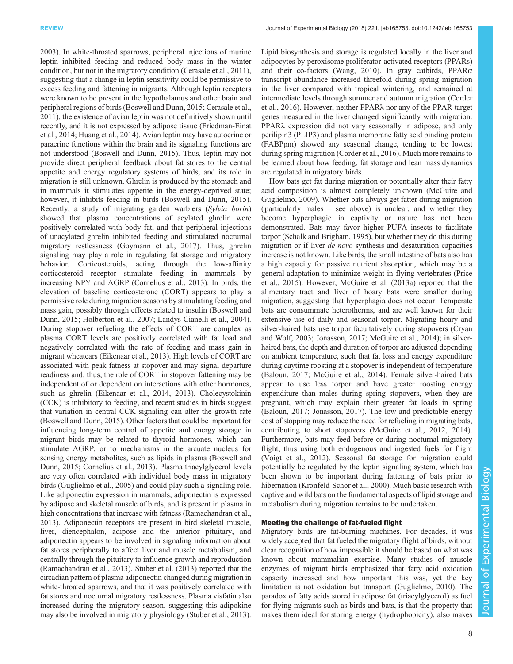[2003](#page-15-0)). In white-throated sparrows, peripheral injections of murine leptin inhibited feeding and reduced body mass in the winter condition, but not in the migratory condition [\(Cerasale et al., 2011\)](#page-12-0), suggesting that a change in leptin sensitivity could be permissive to excess feeding and fattening in migrants. Although leptin receptors were known to be present in the hypothalamus and other brain and peripheral regions of birds [\(Boswell and Dunn, 2015](#page-12-0); [Cerasale et al.,](#page-12-0) [2011](#page-12-0)), the existence of avian leptin was not definitively shown until recently, and it is not expressed by adipose tissue [\(Friedman-Einat](#page-13-0) [et al., 2014](#page-13-0); [Huang et al., 2014](#page-13-0)). Avian leptin may have autocrine or paracrine functions within the brain and its signaling functions are not understood [\(Boswell and Dunn, 2015\)](#page-12-0). Thus, leptin may not provide direct peripheral feedback about fat stores to the central appetite and energy regulatory systems of birds, and its role in migration is still unknown. Ghrelin is produced by the stomach and in mammals it stimulates appetite in the energy-deprived state; however, it inhibits feeding in birds [\(Boswell and Dunn, 2015\)](#page-12-0). Recently, a study of migrating garden warblers (Sylvia borin) showed that plasma concentrations of acylated ghrelin were positively correlated with body fat, and that peripheral injections of unacylated ghrelin inhibited feeding and stimulated nocturnal migratory restlessness ([Goymann et al., 2017](#page-13-0)). Thus, ghrelin signaling may play a role in regulating fat storage and migratory behavior. Corticosteroids, acting through the low-affinity corticosteroid receptor stimulate feeding in mammals by increasing NPY and AGRP [\(Cornelius et al., 2013](#page-12-0)). In birds, the elevation of baseline corticosterone (CORT) appears to play a permissive role during migration seasons by stimulating feeding and mass gain, possibly through effects related to insulin [\(Boswell and](#page-12-0) [Dunn, 2015](#page-12-0); [Holberton et al., 2007; Landys-Cianelli et al., 2004\)](#page-13-0). During stopover refueling the effects of CORT are complex as plasma CORT levels are positively correlated with fat load and negatively correlated with the rate of feeding and mass gain in migrant wheatears ([Eikenaar et al., 2013\)](#page-13-0). High levels of CORT are associated with peak fatness at stopover and may signal departure readiness and, thus, the role of CORT in stopover fattening may be independent of or dependent on interactions with other hormones, such as ghrelin [\(Eikenaar et al., 2014, 2013](#page-13-0)). Cholecystokinin (CCK) is inhibitory to feeding, and recent studies in birds suggest that variation in central CCK signaling can alter the growth rate [\(Boswell and Dunn, 2015\)](#page-12-0). Other factors that could be important for influencing long-term control of appetite and energy storage in migrant birds may be related to thyroid hormones, which can stimulate AGRP, or to mechanisms in the arcuate nucleus for sensing energy metabolites, such as lipids in plasma ([Boswell and](#page-12-0) [Dunn, 2015; Cornelius et al., 2013](#page-12-0)). Plasma triacylglycerol levels are very often correlated with individual body mass in migratory birds [\(Guglielmo et al., 2005\)](#page-13-0) and could play such a signaling role. Like adiponectin expression in mammals, adiponectin is expressed by adipose and skeletal muscle of birds, and is present in plasma in high concentrations that increase with fatness [\(Ramachandran et al.,](#page-15-0) [2013](#page-15-0)). Adiponectin receptors are present in bird skeletal muscle, liver, diencephalon, adipose and the anterior pituitary, and adiponectin appears to be involved in signaling information about fat stores peripherally to affect liver and muscle metabolism, and centrally through the pituitary to influence growth and reproduction [\(Ramachandran et al., 2013\)](#page-15-0). [Stuber et al. \(2013\)](#page-15-0) reported that the circadian pattern of plasma adiponectin changed during migration in white-throated sparrows, and that it was positively correlated with fat stores and nocturnal migratory restlessness. Plasma visfatin also increased during the migratory season, suggesting this adipokine may also be involved in migratory physiology ([Stuber et al., 2013\)](#page-15-0).

Lipid biosynthesis and storage is regulated locally in the liver and adipocytes by peroxisome proliferator-activated receptors (PPARs) and their co-factors ([Wang, 2010](#page-15-0)). In gray catbirds, PPARα transcript abundance increased threefold during spring migration in the liver compared with tropical wintering, and remained at intermediate levels through summer and autumn migration [\(Corder](#page-12-0) [et al., 2016](#page-12-0)). However, neither PPARλ nor any of the PPAR target genes measured in the liver changed significantly with migration. PPARλ expression did not vary seasonally in adipose, and only perilipin3 (PLIP3) and plasma membrane fatty acid binding protein (FABPpm) showed any seasonal change, tending to be lowest during spring migration ([Corder et al., 2016](#page-12-0)). Much more remains to be learned about how feeding, fat storage and lean mass dynamics are regulated in migratory birds.

How bats get fat during migration or potentially alter their fatty acid composition is almost completely unknown [\(McGuire and](#page-14-0) [Guglielmo, 2009](#page-14-0)). Whether bats always get fatter during migration ( particularly males – see above) is unclear, and whether they become hyperphagic in captivity or nature has not been demonstrated. Bats may favor higher PUFA insects to facilitate torpor [\(Schalk and Brigham, 1995](#page-15-0)), but whether they do this during migration or if liver *de novo* synthesis and desaturation capacities increase is not known. Like birds, the small intestine of bats also has a high capacity for passive nutrient absorption, which may be a general adaptation to minimize weight in flying vertebrates ([Price](#page-14-0) [et al., 2015\)](#page-14-0). However, [McGuire et al. \(2013a](#page-14-0)) reported that the alimentary tract and liver of hoary bats were smaller during migration, suggesting that hyperphagia does not occur. Temperate bats are consummate heterotherms, and are well known for their extensive use of daily and seasonal torpor. Migrating hoary and silver-haired bats use torpor facultatively during stopovers [\(Cryan](#page-12-0) [and Wolf, 2003;](#page-12-0) [Jonasson, 2017;](#page-13-0) [McGuire et al., 2014](#page-14-0)); in silverhaired bats, the depth and duration of torpor are adjusted depending on ambient temperature, such that fat loss and energy expenditure during daytime roosting at a stopover is independent of temperature [\(Baloun, 2017;](#page-12-0) [McGuire et al., 2014](#page-14-0)). Female silver-haired bats appear to use less torpor and have greater roosting energy expenditure than males during spring stopovers, when they are pregnant, which may explain their greater fat loads in spring [\(Baloun, 2017](#page-12-0); [Jonasson, 2017](#page-13-0)). The low and predictable energy cost of stopping may reduce the need for refueling in migrating bats, contributing to short stopovers [\(McGuire et al., 2012, 2014\)](#page-14-0). Furthermore, bats may feed before or during nocturnal migratory flight, thus using both endogenous and ingested fuels for flight [\(Voigt et al., 2012](#page-15-0)). Seasonal fat storage for migration could potentially be regulated by the leptin signaling system, which has been shown to be important during fattening of bats prior to hibernation ([Kronfeld-Schor et al., 2000\)](#page-13-0). Much basic research with captive and wild bats on the fundamental aspects of lipid storage and metabolism during migration remains to be undertaken.

## Meeting the challenge of fat-fueled flight

Migratory birds are fat-burning machines. For decades, it was widely accepted that fat fueled the migratory flight of birds, without clear recognition of how impossible it should be based on what was known about mammalian exercise. Many studies of muscle enzymes of migrant birds emphasized that fatty acid oxidation capacity increased and how important this was, yet the key limitation is not oxidation but transport [\(Guglielmo, 2010\)](#page-13-0). The paradox of fatty acids stored in adipose fat (triacylglycerol) as fuel for flying migrants such as birds and bats, is that the property that makes them ideal for storing energy (hydrophobicity), also makes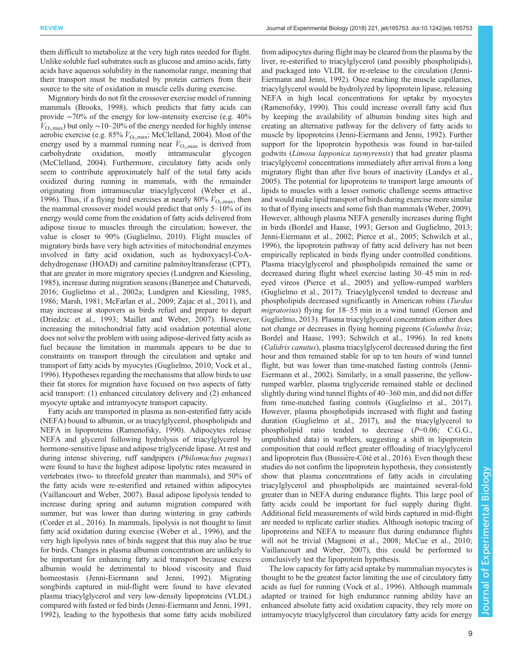them difficult to metabolize at the very high rates needed for flight. Unlike soluble fuel substrates such as glucose and amino acids, fatty acids have aqueous solubility in the nanomolar range, meaning that their transport must be mediated by protein carriers from their source to the site of oxidation in muscle cells during exercise.

Migratory birds do not fit the crossover exercise model of running mammals [\(Brooks, 1998\)](#page-12-0), which predicts that fatty acids can provide ∼70% of the energy for low-intensity exercise (e.g. 40%  $V_{\text{O}_2,\text{max}}$ ) but only ~10–20% of the energy needed for highly intense aerobic exercise (e.g. 85%  $\dot{V}_{\text{O}_2,\text{max}}$ ; [McClelland, 2004](#page-14-0)). Most of the energy used by a mammal running near  $\dot{V}_{\text{O}_2,\text{max}}$  is derived from carbohydrate oxidation, mostly intramuscular glycogen [\(McClelland, 2004\)](#page-14-0). Furthermore, circulatory fatty acids only seem to contribute approximately half of the total fatty acids oxidized during running in mammals, with the remainder originating from intramuscular triacylglycerol [\(Weber et al.,](#page-15-0) [1996](#page-15-0)). Thus, if a flying bird exercises at nearly 80%  $\dot{V}_{\text{O}_2,\text{max}}$ , then the mammal crossover model would predict that only 5–10% of its energy would come from the oxidation of fatty acids delivered from adipose tissue to muscles through the circulation; however, the value is closer to 90% [\(Guglielmo, 2010](#page-13-0)). Flight muscles of migratory birds have very high activities of mitochondrial enzymes involved in fatty acid oxidation, such as hydroxyacyl-CoAdehydrogenase (HOAD) and carnitine palmitoyltransferase (CPT), that are greater in more migratory species [\(Lundgren and Kiessling,](#page-14-0) [1985](#page-14-0)), increase during migration seasons [\(Banerjee and Chaturvedi,](#page-12-0) [2016](#page-12-0); [Guglielmo et al., 2002a;](#page-13-0) [Lundgren and Kiessling, 1985,](#page-14-0) [1986](#page-14-0); [Marsh, 1981](#page-14-0); [McFarlan et al., 2009](#page-14-0); [Zajac et al., 2011](#page-15-0)), and may increase at stopovers as birds refuel and prepare to depart [\(Driedzic et al., 1993;](#page-12-0) [Maillet and Weber, 2007](#page-14-0)). However, increasing the mitochondrial fatty acid oxidation potential alone does not solve the problem with using adipose-derived fatty acids as fuel because the limitation in mammals appears to be due to constraints on transport through the circulation and uptake and transport of fatty acids by myocytes ([Guglielmo, 2010;](#page-13-0) [Vock et al.,](#page-15-0) [1996](#page-15-0)). Hypotheses regarding the mechanisms that allow birds to use their fat stores for migration have focused on two aspects of fatty acid transport: (1) enhanced circulatory delivery and (2) enhanced myocyte uptake and intramyocyte transport capacity.

Fatty acids are transported in plasma as non-esterified fatty acids (NEFA) bound to albumin, or as triacylglycerol, phospholipids and NEFA in lipoproteins [\(Ramenofsky, 1990](#page-15-0)). Adipocytes release NEFA and glycerol following hydrolysis of triacylglycerol by hormone-sensitive lipase and adipose triglyceride lipase. At rest and during intense shivering, ruff sandpipers (Philomachus pugnax) were found to have the highest adipose lipolytic rates measured in vertebrates (two- to threefold greater than mammals), and 50% of the fatty acids were re-esterified and retained within adipocytes [\(Vaillancourt and Weber, 2007](#page-15-0)). Basal adipose lipolysis tended to increase during spring and autumn migration compared with summer, but was lower than during wintering in gray catbirds [\(Corder et al., 2016](#page-12-0)). In mammals, lipolysis is not thought to limit fatty acid oxidation during exercise ([Weber et al., 1996\)](#page-15-0), and the very high lipolysis rates of birds suggest that this may also be true for birds. Changes in plasma albumin concentration are unlikely to be important for enhancing fatty acid transport because excess albumin would be detrimental to blood viscosity and fluid homeostasis [\(Jenni-Eiermann and Jenni, 1992](#page-13-0)). Migrating songbirds captured in mid-flight were found to have elevated plasma triacylglycerol and very low-density lipoproteins (VLDL) compared with fasted or fed birds [\(Jenni-Eiermann and Jenni, 1991,](#page-13-0) [1992](#page-13-0)), leading to the hypothesis that some fatty acids mobilized

from adipocytes during flight may be cleared from the plasma by the liver, re-esterified to triacylglycerol (and possibly phospholipids), and packaged into VLDL for re-release to the circulation [\(Jenni-](#page-13-0)[Eiermann and Jenni, 1992\)](#page-13-0). Once reaching the muscle capillaries, triacylglycerol would be hydrolyzed by lipoprotein lipase, releasing NEFA in high local concentrations for uptake by myocytes [\(Ramenofsky, 1990](#page-15-0)). This could increase overall fatty acid flux by keeping the availability of albumin binding sites high and creating an alternative pathway for the delivery of fatty acids to muscle by lipoproteins ([Jenni-Eiermann and Jenni, 1992](#page-13-0)). Further support for the lipoprotein hypothesis was found in bar-tailed godwits (Limosa lapponica taymyrensis) that had greater plasma triacylglycerol concentrations immediately after arrival from a long migratory flight than after five hours of inactivity [\(Landys et al.,](#page-13-0) [2005\)](#page-13-0). The potential for lipoproteins to transport large amounts of lipids to muscles with a lesser osmotic challenge seems attractive and would make lipid transport of birds during exercise more similar to that of flying insects and some fish than mammals ([Weber, 2009\)](#page-15-0). However, although plasma NEFA generally increases during flight in birds [\(Bordel and Haase, 1993](#page-12-0); [Gerson and Guglielmo, 2013](#page-13-0); [Jenni-Eiermann et al., 2002;](#page-13-0) [Pierce et al., 2005](#page-14-0); [Schwilch et al.,](#page-15-0) [1996\)](#page-15-0), the lipoprotein pathway of fatty acid delivery has not been empirically replicated in birds flying under controlled conditions. Plasma triacylglycerol and phospholipids remained the same or decreased during flight wheel exercise lasting 30–45 min in redeyed vireos ([Pierce et al., 2005](#page-14-0)) and yellow-rumped warblers [\(Guglielmo et al., 2017](#page-13-0)). Triacylglycerol tended to decrease and phospholipids decreased significantly in American robins (Turdus migratorius) flying for 18–55 min in a wind tunnel [\(Gerson and](#page-13-0) [Guglielmo, 2013](#page-13-0)). Plasma triacylglycerol concentration either does not change or decreases in flying homing pigeons (*Columba livia*; [Bordel and Haase, 1993](#page-12-0); [Schwilch et al., 1996](#page-15-0)). In red knots (Calidris canutus), plasma triacylglycerol decreased during the first hour and then remained stable for up to ten hours of wind tunnel flight, but was lower than time-matched fasting controls [\(Jenni-](#page-13-0)[Eiermann et al., 2002\)](#page-13-0). Similarly, in a small passerine, the yellowrumped warbler, plasma triglyceride remained stable or declined slightly during wind tunnel flights of 40–360 min, and did not differ from time-matched fasting controls [\(Guglielmo et al., 2017\)](#page-13-0). However, plasma phospholipids increased with flight and fasting duration [\(Guglielmo et al., 2017\)](#page-13-0), and the triacylglycerol to phospholipid ratio tended to decrease (P=0.06; C.G.G., unpublished data) in warblers, suggesting a shift in lipoprotein composition that could reflect greater offloading of triacylglycerol and lipoprotein flux (Bussière-Côté et al., 2016). Even though these studies do not confirm the lipoprotein hypothesis, they consistently show that plasma concentrations of fatty acids in circulating triacylglycerol and phospholipids are maintained several-fold greater than in NEFA during endurance flights. This large pool of fatty acids could be important for fuel supply during flight. Additional field measurements of wild birds captured in mid-flight are needed to replicate earlier studies. Although isotopic tracing of lipoproteins and NEFA to measure flux during endurance flights will not be trivial ([Magnoni et al., 2008; McCue et al., 2010](#page-14-0); [Vaillancourt and Weber, 2007](#page-15-0)), this could be performed to conclusively test the lipoprotein hypothesis.

The low capacity for fatty acid uptake by mammalian myocytes is thought to be the greatest factor limiting the use of circulatory fatty acids as fuel for running ([Vock et al., 1996\)](#page-15-0). Although mammals adapted or trained for high endurance running ability have an enhanced absolute fatty acid oxidation capacity, they rely more on intramyocyte triacylglycerol than circulatory fatty acids for energy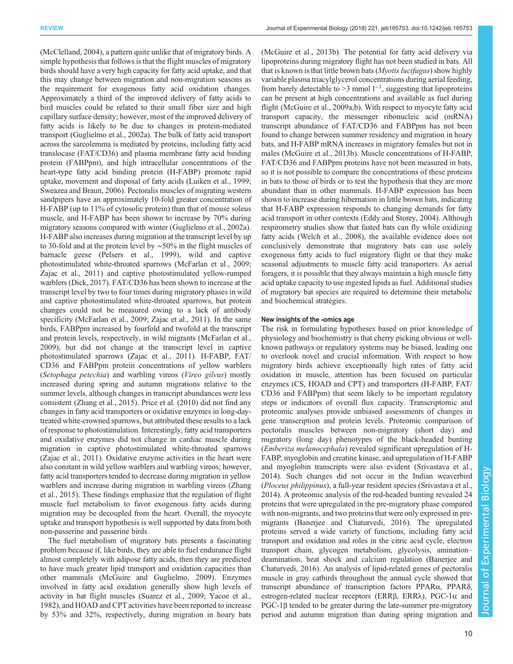[\(McClelland, 2004\)](#page-14-0), a pattern quite unlike that of migratory birds. A simple hypothesis that follows is that the flight muscles of migratory birds should have a very high capacity for fatty acid uptake, and that this may change between migration and non-migration seasons as the requirement for exogenous fatty acid oxidation changes. Approximately a third of the improved delivery of fatty acids to bird muscles could be related to their small fiber size and high capillary surface density; however, most of the improved delivery of fatty acids is likely to be due to changes in protein-mediated transport [\(Guglielmo et al., 2002a\)](#page-13-0). The bulk of fatty acid transport across the sarcolemma is mediated by proteins, including fatty acid translocase (FAT/CD36) and plasma membrane fatty acid binding protein (FABPpm), and high intracellular concentrations of the heart-type fatty acid binding protein (H-FABP) promote rapid uptake, movement and disposal of fatty acids [\(Luiken et al., 1999](#page-14-0); [Sweazea and Braun, 2006\)](#page-15-0). Pectoralis muscles of migrating western sandpipers have an approximately 10-fold greater concentration of H-FABP (up to 11% of cytosolic protein) than that of mouse soleus muscle, and H-FABP has been shown to increase by 70% during migratory seasons compared with winter ([Guglielmo et al., 2002a\)](#page-13-0). H-FABP also increases during migration at the transcript level by up to 30-fold and at the protein level by ∼50% in the flight muscles of barnacle geese [\(Pelsers et al., 1999\)](#page-14-0), wild and captive photostimulated white-throated sparrows ([McFarlan et al., 2009](#page-14-0); [Zajac et al., 2011\)](#page-15-0) and captive photostimulated yellow-rumped warblers ([Dick, 2017\)](#page-12-0). FAT/CD36 has been shown to increase at the transcript level by two to four times during migratory phases in wild and captive photostimulated white-throated sparrows, but protein changes could not be measured owing to a lack of antibody specificity ([McFarlan et al., 2009](#page-14-0); [Zajac et al., 2011](#page-15-0)). In the same birds, FABPpm increased by fourfold and twofold at the transcript and protein levels, respectively, in wild migrants ([McFarlan et al.,](#page-14-0) [2009](#page-14-0)), but did not change at the transcript level in captive photostimulated sparrows ([Zajac et al., 2011](#page-15-0)). H-FABP, FAT/ CD36 and FABPpm protein concentrations of yellow warblers (Setophaga petechia) and warbling vireos (Vireo gilvus) mostly increased during spring and autumn migrations relative to the summer levels, although changes in transcript abundances were less consistent ([Zhang et al., 2015\)](#page-15-0). [Price et al. \(2010\)](#page-14-0) did not find any changes in fatty acid transporters or oxidative enzymes in long-daytreated white-crowned sparrows, but attributed these results to a lack of response to photostimulation. Interestingly, fatty acid transporters and oxidative enzymes did not change in cardiac muscle during migration in captive photostimulated white-throated sparrows [\(Zajac et al., 2011](#page-15-0)). Oxidative enzyme activities in the heart were also constant in wild yellow warblers and warbling vireos; however, fatty acid transporters tended to decrease during migration in yellow warblers and increase during migration in warbling vireos ([Zhang](#page-15-0) [et al., 2015](#page-15-0)). These findings emphasize that the regulation of flight muscle fuel metabolism to favor exogenous fatty acids during migration may be decoupled from the heart. Overall, the myocyte uptake and transport hypothesis is well supported by data from both non-passerine and passerine birds.

The fuel metabolism of migratory bats presents a fascinating problem because if, like birds, they are able to fuel endurance flight almost completely with adipose fatty acids, then they are predicted to have much greater lipid transport and oxidation capacities than other mammals ([McGuire and Guglielmo, 2009\)](#page-14-0). Enzymes involved in fatty acid oxidation generally show high levels of activity in bat flight muscles ([Suarez et al., 2009](#page-15-0); [Yacoe et al.,](#page-15-0) [1982](#page-15-0)), and HOAD and CPT activities have been reported to increase by 53% and 32%, respectively, during migration in hoary bats

[\(McGuire et al., 2013b](#page-14-0)). The potential for fatty acid delivery via lipoproteins during migratory flight has not been studied in bats. All that is known is that little brown bats (Myotis lucifugus) show highly variable plasma triacylglycerol concentrations during aerial feeding, from barely detectable to >3 mmol  $1^{-1}$ , suggesting that lipoproteins can be present at high concentrations and available as fuel during flight [\(McGuire et al., 2009a](#page-14-0),[b\)](#page-14-0). With respect to myocyte fatty acid transport capacity, the messenger ribonucleic acid (mRNA) transcript abundance of FAT/CD36 and FABPpm has not been found to change between summer residency and migration in hoary bats, and H-FABP mRNA increases in migratory females but not in males ([McGuire et al., 2013b\)](#page-14-0). Muscle concentrations of H-FABP, FAT/CD36 and FABPpm proteins have not been measured in bats, so it is not possible to compare the concentrations of these proteins in bats to those of birds or to test the hypothesis that they are more abundant than in other mammals. H-FABP expression has been shown to increase during hibernation in little brown bats, indicating that H-FABP expression responds to changing demands for fatty acid transport in other contexts ([Eddy and Storey, 2004](#page-13-0)). Although respirometry studies show that fasted bats can fly while oxidizing fatty acids ([Welch et al., 2008](#page-15-0)), the available evidence does not conclusively demonstrate that migratory bats can use solely exogenous fatty acids to fuel migratory flight or that they make seasonal adjustments to muscle fatty acid transporters. As aerial foragers, it is possible that they always maintain a high muscle fatty acid uptake capacity to use ingested lipids as fuel. Additional studies of migratory bat species are required to determine their metabolic and biochemical strategies.

## New insights of the -omics age

The risk in formulating hypotheses based on prior knowledge of physiology and biochemistry is that cherry picking obvious or wellknown pathways or regulatory systems may be biased, leading one to overlook novel and crucial information. With respect to how migratory birds achieve exceptionally high rates of fatty acid oxidation in muscle, attention has been focused on particular enzymes (CS, HOAD and CPT) and transporters (H-FABP, FAT/ CD36 and FABPpm) that seem likely to be important regulatory steps or indicators of overall flux capacity. Transcriptomic and proteomic analyses provide unbiased assessments of changes in gene transcription and protein levels. Proteomic comparison of pectoralis muscles between non-migratory (short day) and migratory (long day) phenotypes of the black-headed bunting (Emberiza melanocephala) revealed significant upregulation of H-FABP, myoglobin and creatine kinase, and upregulation of H-FABP and myoglobin transcripts were also evident ([Srivastava et al.,](#page-15-0) [2014\)](#page-15-0). Such changes did not occur in the Indian weaverbird (Ploceus philippinus), a full-year resident species [\(Srivastava et al.,](#page-15-0) [2014\)](#page-15-0). A proteomic analysis of the red-headed bunting revealed 24 proteins that were upregulated in the pre-migratory phase compared with non-migrants, and two proteins that were only expressed in premigrants ([Banerjee and Chaturvedi, 2016\)](#page-12-0). The upregulated proteins served a wide variety of functions, including fatty acid transport and oxidation and roles in the citric acid cycle, electron transport chain, glycogen metabolism, glycolysis, amination– deamination, heat shock and calcium regulation ([Banerjee and](#page-12-0) [Chaturvedi, 2016\)](#page-12-0). An analysis of lipid-related genes of pectoralis muscle in gray catbirds throughout the annual cycle showed that transcript abundance of transcription factors PPARα, PPARδ, estrogen-related nuclear receptors (ERRβ, ERRλ), PGC-1α and PGC-1β tended to be greater during the late-summer pre-migratory period and autumn migration than during spring migration and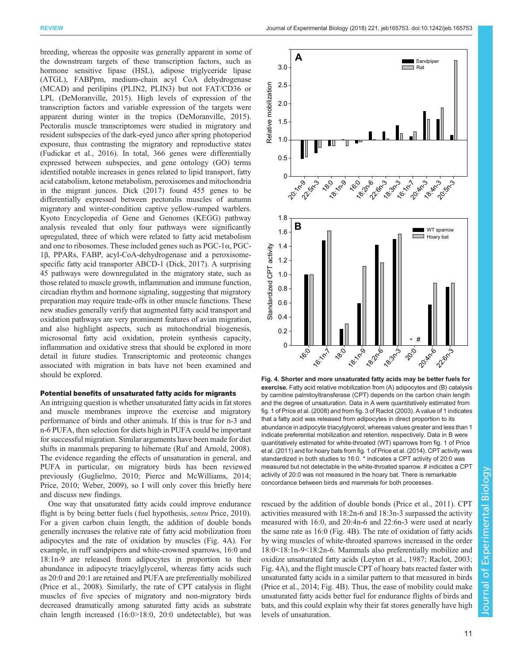breeding, whereas the opposite was generally apparent in some of the downstream targets of these transcription factors, such as hormone sensitive lipase (HSL), adipose triglyceride lipase (ATGL), FABPpm, medium-chain acyl CoA dehydrogenase (MCAD) and perilipins (PLIN2, PLIN3) but not FAT/CD36 or LPL [\(DeMoranville, 2015](#page-12-0)). High levels of expression of the transcription factors and variable expression of the targets were apparent during winter in the tropics [\(DeMoranville, 2015\)](#page-12-0). Pectoralis muscle transcriptomes were studied in migratory and resident subspecies of the dark-eyed junco after spring photoperiod exposure, thus contrasting the migratory and reproductive states [\(Fudickar et al., 2016](#page-13-0)). In total, 366 genes were differentially expressed between subspecies, and gene ontology (GO) terms identified notable increases in genes related to lipid transport, fatty acid catabolism, ketone metabolism, peroxisomes and mitochondria in the migrant juncos. [Dick \(2017\)](#page-12-0) found 455 genes to be differentially expressed between pectoralis muscles of autumn migratory and winter-condition captive yellow-rumped warblers. Kyoto Encyclopedia of Gene and Genomes (KEGG) pathway analysis revealed that only four pathways were significantly upregulated, three of which were related to fatty acid metabolism and one to ribosomes. These included genes such as PGC-1α, PGC-1β, PPARs, FABP, acyl-CoA-dehydrogenase and a peroxisomespecific fatty acid transporter ABCD-1 ([Dick, 2017](#page-12-0)). A surprising 45 pathways were downregulated in the migratory state, such as those related to muscle growth, inflammation and immune function, circadian rhythm and hormone signaling, suggesting that migratory preparation may require trade-offs in other muscle functions. These new studies generally verify that augmented fatty acid transport and oxidation pathways are very prominent features of avian migration, and also highlight aspects, such as mitochondrial biogenesis, microsomal fatty acid oxidation, protein synthesis capacity, inflammation and oxidative stress that should be explored in more detail in future studies. Transcriptomic and proteomic changes associated with migration in bats have not been examined and should be explored.

### Potential benefits of unsaturated fatty acids for migrants

An intriguing question is whether unsaturated fatty acids in fat stores and muscle membranes improve the exercise and migratory performance of birds and other animals. If this is true for n-3 and n-6 PUFA, then selection for diets high in PUFA could be important for successful migration. Similar arguments have been made for diet shifts in mammals preparing to hibernate [\(Ruf and Arnold, 2008\)](#page-15-0). The evidence regarding the effects of unsaturation in general, and PUFA in particular, on migratory birds has been reviewed previously ([Guglielmo, 2010;](#page-13-0) [Pierce and McWilliams, 2014](#page-14-0); [Price, 2010](#page-14-0); [Weber, 2009\)](#page-15-0), so I will only cover this briefly here and discuss new findings.

One way that unsaturated fatty acids could improve endurance flight is by being better fuels (fuel hypothesis, sensu [Price, 2010\)](#page-14-0). For a given carbon chain length, the addition of double bonds generally increases the relative rate of fatty acid mobilization from adipocytes and the rate of oxidation by muscles (Fig. 4A). For example, in ruff sandpipers and white-crowned sparrows, 16:0 and 18:1n-9 are released from adipocytes in proportion to their abundance in adipocyte triacylglycerol, whereas fatty acids such as 20:0 and 20:1 are retained and PUFA are preferentially mobilized [\(Price et al., 2008](#page-14-0)). Similarly, the rate of CPT catalysis in flight muscles of five species of migratory and non-migratory birds decreased dramatically among saturated fatty acids as substrate chain length increased (16:0>18:0, 20:0 undetectable), but was



Fig. 4. Shorter and more unsaturated fatty acids may be better fuels for exercise. Fatty acid relative mobilization from (A) adipocytes and (B) catalysis by carnitine palmitoyltransferase (CPT) depends on the carbon chain length and the degree of unsaturation. Data in A were quantitatively estimated from fig. 1 of [Price et al. \(2008\)](#page-14-0) and from fig. 3 of [Raclot \(2003\).](#page-14-0) A value of 1 indicates that a fatty acid was released from adipocytes in direct proportion to its abundance in adipocyte triacylglycerol, whereas values greater and less than 1 indicate preferential mobilization and retention, respectively. Data in B were quantitatively estimated for white-throated (WT) sparrows from fig. 1 of [Price](#page-14-0) [et al. \(2011\)](#page-14-0) and for hoary bats from fig. 1 of [Price et al. \(2014\)](#page-14-0). CPT activity was standardized in both studies to 16:0. \* indicates a CPT activity of 20:0 was measured but not detectable in the white-throated sparrow. # indicates a CPT activity of 20:0 was not measured in the hoary bat. There is remarkable concordance between birds and mammals for both processes.

rescued by the addition of double bonds ([Price et al., 2011](#page-14-0)). CPT activities measured with 18:2n-6 and 18:3n-3 surpassed the activity measured with 16:0, and 20:4n-6 and 22:6n-3 were used at nearly the same rate as 16:0 (Fig. 4B). The rate of oxidation of fatty acids by wing muscles of white-throated sparrows increased in the order 18:0<18:1n-9<18:2n-6. Mammals also preferentially mobilize and oxidize unsaturated fatty acids ([Leyton et al., 1987;](#page-13-0) [Raclot, 2003](#page-14-0); Fig. 4A), and the flight muscle CPT of hoary bats reacted faster with unsaturated fatty acids in a similar pattern to that measured in birds [\(Price et al., 2014;](#page-14-0) Fig. 4B). Thus, the ease of mobility could make unsaturated fatty acids better fuel for endurance flights of birds and bats, and this could explain why their fat stores generally have high levels of unsaturation.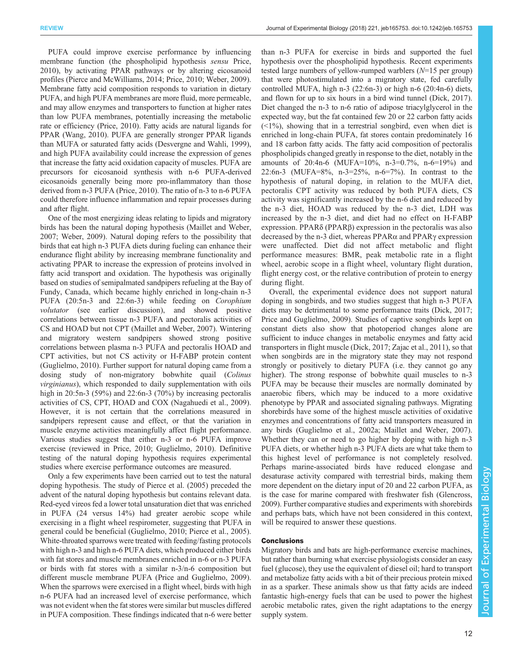PUFA could improve exercise performance by influencing membrane function (the phospholipid hypothesis sensu [Price,](#page-14-0) [2010](#page-14-0)), by activating PPAR pathways or by altering eicosanoid profiles ([Pierce and McWilliams, 2014; Price, 2010](#page-14-0); [Weber, 2009\)](#page-15-0). Membrane fatty acid composition responds to variation in dietary PUFA, and high PUFA membranes are more fluid, more permeable, and may allow enzymes and transporters to function at higher rates than low PUFA membranes, potentially increasing the metabolic rate or efficiency [\(Price, 2010\)](#page-14-0). Fatty acids are natural ligands for PPAR ([Wang, 2010\)](#page-15-0). PUFA are generally stronger PPAR ligands than MUFA or saturated fatty acids [\(Desvergne and Wahli, 1999\)](#page-12-0), and high PUFA availability could increase the expression of genes that increase the fatty acid oxidation capacity of muscles. PUFA are precursors for eicosanoid synthesis with n-6 PUFA-derived eicosanoids generally being more pro-inflammatory than those derived from n-3 PUFA ([Price, 2010\)](#page-14-0). The ratio of n-3 to n-6 PUFA could therefore influence inflammation and repair processes during and after flight.

One of the most energizing ideas relating to lipids and migratory birds has been the natural doping hypothesis ([Maillet and Weber,](#page-14-0) [2007](#page-14-0); [Weber, 2009\)](#page-15-0). Natural doping refers to the possibility that birds that eat high n-3 PUFA diets during fueling can enhance their endurance flight ability by increasing membrane functionality and activating PPAR to increase the expression of proteins involved in fatty acid transport and oxidation. The hypothesis was originally based on studies of semipalmated sandpipers refueling at the Bay of Fundy, Canada, which became highly enriched in long-chain n-3 PUFA (20:5n-3 and 22:6n-3) while feeding on Corophium volutator (see earlier discussion), and showed positive correlations between tissue n-3 PUFA and pectoralis activities of CS and HOAD but not CPT ([Maillet and Weber, 2007](#page-14-0)). Wintering and migratory western sandpipers showed strong positive correlations between plasma n-3 PUFA and pectoralis HOAD and CPT activities, but not CS activity or H-FABP protein content [\(Guglielmo, 2010](#page-13-0)). Further support for natural doping came from a dosing study of non-migratory bobwhite quail (Colinus virginianus), which responded to daily supplementation with oils high in 20:5n-3 (59%) and 22:6n-3 (70%) by increasing pectoralis activities of CS, CPT, HOAD and COX [\(Nagahuedi et al., 2009\)](#page-14-0). However, it is not certain that the correlations measured in sandpipers represent cause and effect, or that the variation in muscle enzyme activities meaningfully affect flight performance. Various studies suggest that either n-3 or n-6 PUFA improve exercise (reviewed in [Price, 2010;](#page-14-0) [Guglielmo, 2010\)](#page-13-0). Definitive testing of the natural doping hypothesis requires experimental studies where exercise performance outcomes are measured.

Only a few experiments have been carried out to test the natural doping hypothesis. The study of [Pierce et al. \(2005\)](#page-14-0) preceded the advent of the natural doping hypothesis but contains relevant data. Red-eyed vireos fed a lower total unsaturation diet that was enriched in PUFA (24 versus 14%) had greater aerobic scope while exercising in a flight wheel respirometer, suggesting that PUFA in general could be beneficial [\(Guglielmo, 2010;](#page-13-0) [Pierce et al., 2005\)](#page-14-0). White-throated sparrows were treated with feeding/fasting protocols with high n-3 and high n-6 PUFA diets, which produced either birds with fat stores and muscle membranes enriched in n-6 or n-3 PUFA or birds with fat stores with a similar n-3/n-6 composition but different muscle membrane PUFA ([Price and Guglielmo, 2009\)](#page-14-0). When the sparrows were exercised in a flight wheel, birds with high n-6 PUFA had an increased level of exercise performance, which was not evident when the fat stores were similar but muscles differed in PUFA composition. These findings indicated that n-6 were better

than n-3 PUFA for exercise in birds and supported the fuel hypothesis over the phospholipid hypothesis. Recent experiments tested large numbers of yellow-rumped warblers  $(N=15$  per group) that were photostimulated into a migratory state, fed carefully controlled MUFA, high n-3 (22:6n-3) or high n-6 (20:4n-6) diets, and flown for up to six hours in a bird wind tunnel ([Dick, 2017\)](#page-12-0). Diet changed the n-3 to n-6 ratio of adipose triacylglycerol in the expected way, but the fat contained few 20 or 22 carbon fatty acids  $(\leq 1\%)$ , showing that in a terrestrial songbird, even when diet is enriched in long-chain PUFA, fat stores contain predominately 16 and 18 carbon fatty acids. The fatty acid composition of pectoralis phospholipids changed greatly in response to the diet, notably in the amounts of 20:4n-6 (MUFA=10%, n-3=0.7%, n-6=19%) and 22:6n-3 (MUFA=8%, n-3=25%, n-6=7%). In contrast to the hypothesis of natural doping, in relation to the MUFA diet, pectoralis CPT activity was reduced by both PUFA diets, CS activity was significantly increased by the n-6 diet and reduced by the n-3 diet, HOAD was reduced by the n-3 diet, LDH was increased by the n-3 diet, and diet had no effect on H-FABP expression. PPARδ (PPARβ) expression in the pectoralis was also decreased by the n-3 diet, whereas PPARα and PPARγ expression were unaffected. Diet did not affect metabolic and flight performance measures: BMR, peak metabolic rate in a flight wheel, aerobic scope in a flight wheel, voluntary flight duration, flight energy cost, or the relative contribution of protein to energy during flight.

Overall, the experimental evidence does not support natural doping in songbirds, and two studies suggest that high n-3 PUFA diets may be detrimental to some performance traits ([Dick, 2017](#page-12-0); [Price and Guglielmo, 2009\)](#page-14-0). Studies of captive songbirds kept on constant diets also show that photoperiod changes alone are sufficient to induce changes in metabolic enzymes and fatty acid transporters in flight muscle ([Dick, 2017](#page-12-0); [Zajac et al., 2011](#page-15-0)), so that when songbirds are in the migratory state they may not respond strongly or positively to dietary PUFA (i.e. they cannot go any higher). The strong response of bobwhite quail muscles to n-3 PUFA may be because their muscles are normally dominated by anaerobic fibers, which may be induced to a more oxidative phenotype by PPAR and associated signaling pathways. Migrating shorebirds have some of the highest muscle activities of oxidative enzymes and concentrations of fatty acid transporters measured in any birds [\(Guglielmo et al., 2002a](#page-13-0); [Maillet and Weber, 2007\)](#page-14-0). Whether they can or need to go higher by doping with high n-3 PUFA diets, or whether high n-3 PUFA diets are what take them to this highest level of performance is not completely resolved. Perhaps marine-associated birds have reduced elongase and desaturase activity compared with terrestrial birds, making them more dependent on the dietary input of 20 and 22 carbon PUFA, as is the case for marine compared with freshwater fish [\(Glencross,](#page-13-0) [2009\)](#page-13-0). Further comparative studies and experiments with shorebirds and perhaps bats, which have not been considered in this context, will be required to answer these questions.

# **Conclusions**

Migratory birds and bats are high-performance exercise machines, but rather than burning what exercise physiologists consider an easy fuel (glucose), they use the equivalent of diesel oil; hard to transport and metabolize fatty acids with a bit of their precious protein mixed in as a sparker. These animals show us that fatty acids are indeed fantastic high-energy fuels that can be used to power the highest aerobic metabolic rates, given the right adaptations to the energy supply system.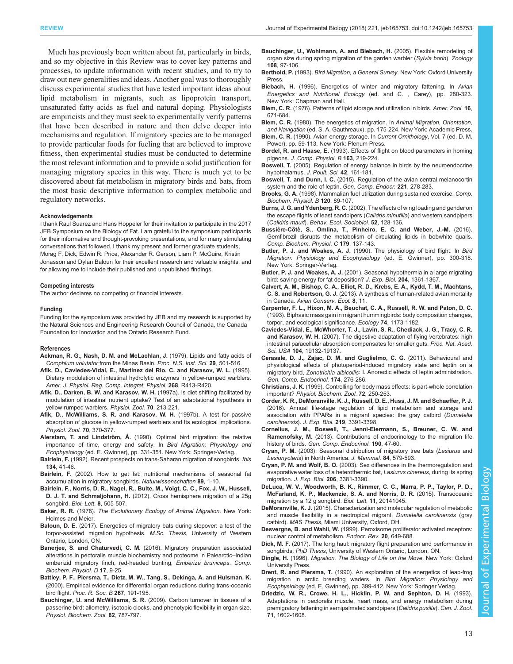<span id="page-12-0"></span>Much has previously been written about fat, particularly in birds, and so my objective in this Review was to cover key patterns and processes, to update information with recent studies, and to try to draw out new generalities and ideas. Another goal was to thoroughly discuss experimental studies that have tested important ideas about lipid metabolism in migrants, such as lipoprotein transport, unsaturated fatty acids as fuel and natural doping. Physiologists are empiricists and they must seek to experimentally verify patterns that have been described in nature and then delve deeper into mechanisms and regulation. If migratory species are to be managed to provide particular foods for fueling that are believed to improve fitness, then experimental studies must be conducted to determine the most relevant information and to provide a solid justification for managing migratory species in this way. There is much yet to be discovered about fat metabolism in migratory birds and bats, from the most basic descriptive information to complex metabolic and regulatory networks.

#### Acknowledgements

I thank Raul Suarez and Hans Hoppeler for their invitation to participate in the 2017 JEB Symposium on the Biology of Fat. I am grateful to the symposium participants for their informative and thought-provoking presentations, and for many stimulating conversations that followed. I thank my present and former graduate students, Morag F. Dick, Edwin R. Price, Alexander R. Gerson, Liam P. McGuire, Kristin Jonasson and Dylan Baloun for their excellent research and valuable insights, and for allowing me to include their published and unpublished findings.

#### Competing interests

The author declares no competing or financial interests.

#### Funding

Funding for the symposium was provided by JEB and my research is supported by the Natural Sciences and Engineering Research Council of Canada, the Canada Foundation for Innovation and the Ontario Research Fund.

#### References

- Ackman, R. G., Nash, D. M. and McLachlan, J. (1979). Lipids and fatty acids of Corophium volutator from the Minas Basin. Proc. N.S. Inst. Sci. 29, 501-516.
- Afik, D., Caviedes-Vidal, E., Martinez del Rio, C. and Karasov, W. L. (1995). Dietary modulation of intestinal hydrolytic enzymes in yellow-rumped warblers. Amer. J. Physiol. Reg. Comp. Integrat. Physiol. 268, R413-R420.
- [Afik, D., Darken, B. W. and Karasov, W. H.](http://dx.doi.org/10.1086/639580) (1997a). Is diet shifting facilitated by [modulation of intestinal nutrient uptake? Test of an adaptational hypothesis in](http://dx.doi.org/10.1086/639580) [yellow-rumped warblers.](http://dx.doi.org/10.1086/639580) Physiol. Zool. 70, 213-221.
- [Afik, D., McWilliams, S. R. and Karasov, W. H.](http://dx.doi.org/10.1086/639618) (1997b). A test for passive [absorption of glucose in yellow-rumped warblers and Its ecological implications.](http://dx.doi.org/10.1086/639618) [Physiol. Zool.](http://dx.doi.org/10.1086/639618) 70, 370-377.
- Alerstam, T. and Lindström, Å. (1990). Optimal bird migration: the relative importance of time, energy and safety. In Bird Migration: Physiology and Ecophysiology (ed. E. Gwinner), pp. 331-351. New York: Springer-Verlag.
- Bairlein, F. [\(1992\). Recent prospects on trans-Saharan migration of songbirds.](http://dx.doi.org/10.1111/j.1474-919X.1992.tb04732.x) Ibis 134[, 41-46.](http://dx.doi.org/10.1111/j.1474-919X.1992.tb04732.x)
- Bairlein, F. [\(2002\). How to get fat: nutritional mechanisms of seasonal fat](http://dx.doi.org/10.1007/s00114-001-0279-6) [accumulation in migratory songbirds.](http://dx.doi.org/10.1007/s00114-001-0279-6) Naturwissenschaften 89, 1-10.
- [Bairlein, F., Norris, D. R., Nagel, R., Bulte, M., Voigt, C. C., Fox, J. W., Hussell,](http://dx.doi.org/10.1098/rsbl.2011.1223) D. J. T. and Schmaljohann, H. [\(2012\). Cross hemisphere migration of a 25g](http://dx.doi.org/10.1098/rsbl.2011.1223) songbird. Biol. Lett. 8[, 505-507.](http://dx.doi.org/10.1098/rsbl.2011.1223)
- Baker, R. R. (1978). The Evolutionary Ecology of Animal Migration. New York: Holmes and Meier.
- Baloun, D. E. (2017). Energetics of migratory bats during stopover: a test of the torpor-assisted migration hypothesis. M.Sc. Thesis, University of Western Ontario, London, ON.
- Banerjee, S. and Chaturvedi, C. M. [\(2016\). Migratory preparation associated](http://dx.doi.org/10.1016/j.cbd.2015.11.001) [alterations in pectoralis muscle biochemistry and proteome in Palearctic](http://dx.doi.org/10.1016/j.cbd.2015.11.001)–Indian [emberizid migratory finch, red-headed bunting,](http://dx.doi.org/10.1016/j.cbd.2015.11.001) Emberiza bruniceps. Comp. [Biochem. Physiol. D](http://dx.doi.org/10.1016/j.cbd.2015.11.001) 17, 9-25.
- [Battley, P. F., Piersma, T., Dietz, M. W., Tang, S., Dekinga, A. and Hulsman, K.](http://dx.doi.org/10.1098/rspb.2000.0986) [\(2000\). Empirical evidence for differential organ reductions during trans-oceanic](http://dx.doi.org/10.1098/rspb.2000.0986) bird flight. [Proc. R. Soc. B](http://dx.doi.org/10.1098/rspb.2000.0986) 267, 191-195.
- [Bauchinger, U. and McWilliams, S. R.](http://dx.doi.org/10.1086/605548) (2009). Carbon turnover in tissues of a [passerine bird: allometry, isotopic clocks, and phenotypic flexibility in organ size.](http://dx.doi.org/10.1086/605548) [Physiol. Biochem. Zool.](http://dx.doi.org/10.1086/605548) 82, 787-797.
- [Bauchinger, U., Wohlmann, A. and Biebach, H.](http://dx.doi.org/10.1016/j.zool.2005.03.003) (2005). Flexible remodeling of [organ size during spring migration of the garden warbler \(](http://dx.doi.org/10.1016/j.zool.2005.03.003)Sylvia borin). Zoology 108[, 97-106.](http://dx.doi.org/10.1016/j.zool.2005.03.003)
- Berthold, P. (1993). Bird Migration, a General Survey. New York: Oxford University Press.
- Biebach, H. (1996). Energetics of winter and migratory fattening. In Avian Energetics and Nutritional Ecology (ed. and C. , Carey), pp. 280-323. New York: Chapman and Hall.
- Blem, C. R. [\(1976\). Patterns of lipid storage and utilization in birds.](http://dx.doi.org/10.1093/icb/16.4.671) Amer. Zool. 16, [671-684.](http://dx.doi.org/10.1093/icb/16.4.671)
- Blem, C. R. (1980). The energetics of migration. In Animal Migration, Orientation, and Navigation (ed. S. A. Gauthreaux), pp. 175-224. New York: Academic Press.
- Blem, C. R. (1990). Avian energy storage. In Current Ornithology, Vol. 7 (ed. D. M. Power), pp. 59-113. New York: Plenum Press.
- Bordel, R. and Haase, E. [\(1993\). Effects of flight on blood parameters in homing](http://dx.doi.org/10.1007/BF00261668) pigeons. [J. Comp. Physiol. B](http://dx.doi.org/10.1007/BF00261668) 163, 219-224.
- Boswell, T. [\(2005\). Regulation of energy balance in birds by the neuroendocrine](http://dx.doi.org/10.2141/jpsa.42.161) [hypothalamus.](http://dx.doi.org/10.2141/jpsa.42.161) J. Poult. Sci. 42, 161-181.
- Boswell, T. and Dunn, I. C. [\(2015\). Regulation of the avian central melanocortin](http://dx.doi.org/10.1016/j.ygcen.2014.12.009) [system and the role of leptin.](http://dx.doi.org/10.1016/j.ygcen.2014.12.009) Gen. Comp. Endocr. 221, 278-283.
- Brooks, G. A. [\(1998\). Mammalian fuel utilization during sustained exercise.](http://dx.doi.org/10.1016/S0305-0491(98)00025-X) Comp. [Biochem. Physiol. B](http://dx.doi.org/10.1016/S0305-0491(98)00025-X) 120, 89-107.
- Burns, J. G. and Ydenberg, R. C. [\(2002\). The effects of wing loading and gender on](http://dx.doi.org/10.1007/s00265-002-0494-y) [the escape flights of least sandpipers \(](http://dx.doi.org/10.1007/s00265-002-0494-y)Calidris minutilla) and western sandpipers (Calidris mauri). [Behav. Ecol. Sociobiol.](http://dx.doi.org/10.1007/s00265-002-0494-y) 52, 128-136.
- Bussière-Côté[, S., Omlina, T., Pinheiro, E. C. and Weber, J.-M.](http://dx.doi.org/10.1016/j.cbpc.2015.09.011) (2016). [Gemfibrozil disrupts the metabolism of circulating lipids in bobwhite quails.](http://dx.doi.org/10.1016/j.cbpc.2015.09.011) [Comp. Biochem. Physiol. C](http://dx.doi.org/10.1016/j.cbpc.2015.09.011) 179, 137-143.
- Butler, P. J. and Woakes, A. J. (1990). The physiology of bird flight. In Bird Migration: Physiology and Ecophysiology (ed. E. Gwinner), pp. 300-318. New York: Springer-Verlag.
- Butler, P. J. and Woakes, A. J. (2001). Seasonal hypothermia in a large migrating bird: saving energy for fat deposition? J. Exp. Biol. 204, 1361-1367.
- [Calvert, A. M., Bishop, C. A., Elliot, R. D., Krebs, E. A., Kydd, T. M., Machtans,](http://dx.doi.org/10.5751/ACE-00581-080211) C. S. and Robertson, G. J. [\(2013\). A synthesis of human-related avian mortality](http://dx.doi.org/10.5751/ACE-00581-080211) in Canada. [Avian Conserv. Ecol.](http://dx.doi.org/10.5751/ACE-00581-080211) 8, 11.
- [Carpenter, F. L., Hixon, M. A., Beuchat, C. A., Russell, R. W. and Paton, D. C.](http://dx.doi.org/10.2307/1940487) [\(1993\). Biphasic mass gain in migrant hummingbirds: body composition changes,](http://dx.doi.org/10.2307/1940487) [torpor, and ecological significance.](http://dx.doi.org/10.2307/1940487) Ecology 74, 1173-1182.
- [Caviedes-Vidal, E., McWhorter, T. J., Lavin, S. R., Chediack, J. G., Tracy, C. R.](http://dx.doi.org/10.1073/pnas.0703159104) and Karasov, W. H. [\(2007\). The digestive adaptation of flying vertebrates: high](http://dx.doi.org/10.1073/pnas.0703159104) [intestinal paracellular absorption compensates for smaller guts.](http://dx.doi.org/10.1073/pnas.0703159104) Proc. Nat. Acad. Sci. USA 104[, 19132-19137.](http://dx.doi.org/10.1073/pnas.0703159104)
- [Cerasale, D. J., Zajac, D. M. and Guglielmo, C. G.](http://dx.doi.org/10.1016/j.ygcen.2011.08.025) (2011). Behavioural and [physiological effects of photoperiod-induced migratory state and leptin on a](http://dx.doi.org/10.1016/j.ygcen.2011.08.025) migratory bird, Zonotrichia albicollis[: I. Anorectic effects of leptin administration.](http://dx.doi.org/10.1016/j.ygcen.2011.08.025) [Gen. Comp. Endocrinol.](http://dx.doi.org/10.1016/j.ygcen.2011.08.025) 174, 276-286.
- Christians, J. K. [\(1999\). Controlling for body mass effects: is part-whole correlation](http://dx.doi.org/10.1086/316661) important? [Physiol. Biochem. Zool.](http://dx.doi.org/10.1086/316661) 72, 250-253.
- [Corder, K. R., DeMoranville, K. J., Russell, D. E., Huss, J. M. and Schaeffer, P. J.](http://dx.doi.org/10.1242/jeb.141408) [\(2016\). Annual life-stage regulation of lipid metabolism and storage and](http://dx.doi.org/10.1242/jeb.141408) [association with PPARs in a migrant species: the gray catbird \(](http://dx.doi.org/10.1242/jeb.141408)Dumetella carolinensis). J. Exp. Biol. 219[, 3391-3398.](http://dx.doi.org/10.1242/jeb.141408)
- [Cornelius, J. M., Boswell, T., Jenni-Eiermann, S., Breuner, C. W. and](http://dx.doi.org/10.1016/j.ygcen.2013.03.027) Ramenofsky, M. [\(2013\). Contributions of endocrinology to the migration life](http://dx.doi.org/10.1016/j.ygcen.2013.03.027) history of birds. [Gen. Comp. Endocrinol.](http://dx.doi.org/10.1016/j.ygcen.2013.03.027) 190, 47-60.
- Cryan, P. M. [\(2003\). Seasonal distribution of migratory tree bats \(](http://dx.doi.org/10.1644/1545-1542(2003)084%3C0579:SDOMTB%3E2.0.CO;2)Lasiurus and Lasionycteris[\) in North America.](http://dx.doi.org/10.1644/1545-1542(2003)084%3C0579:SDOMTB%3E2.0.CO;2) J. Mammal. 84, 579-593.
- Cryan, P. M. and Wolf, B. O. [\(2003\). Sex differences in the thermoregulation and](http://dx.doi.org/10.1242/jeb.00574) [evaporative water loss of a heterothermic bat,](http://dx.doi.org/10.1242/jeb.00574) Lasiurus cinereus, during its spring migration. J. Exp. Biol. 206[, 3381-3390.](http://dx.doi.org/10.1242/jeb.00574)
- [DeLuca, W. V., Woodworth, B. K., Rimmer, C. C., Marra, P. P., Taylor, P. D.,](http://dx.doi.org/10.1098/rsbl.2014.1045) [McFarland, K. P., Mackenzie, S. A. and Norris, D. R.](http://dx.doi.org/10.1098/rsbl.2014.1045) (2015). Transoceanic [migration by a 12 g songbird.](http://dx.doi.org/10.1098/rsbl.2014.1045) Biol. Lett. 11, 20141045.
- DeMoranville, K. J. (2015). Characterization and molecular regulation of metabolic and muscle flexibility in a neotropical migrant, Dumetella carolinensis (gray catbird). MAS Thesis, Miami University, Oxford, OH.
- Desvergne, B. and Wahli, W. [\(1999\). Peroxisome proliferator activated receptors:](http://dx.doi.org/10.1210/er.20.5.649) [nuclear control of metabolism.](http://dx.doi.org/10.1210/er.20.5.649) Endocr. Rev. 20, 649-688.
- Dick, M. F. (2017). The long haul: migratory flight preparation and performance in songbirds. PhD Thesis, University of Western Ontario, London, ON.
- Dingle, H. (1996). Migration. The Biology of Life on the Move. New York: Oxford University Press.
- Drent, R. and Piersma, T. (1990). An exploration of the energetics of leap-frog migration in arctic breeding waders. In Bird Migration: Physiology and Ecophysiology (ed. E. Gwinner), pp. 399-412. New York: Springer Verlag.
- [Driedzic, W. R., Crowe, H. L., Hicklin, P. W. and Sephton, D. H.](http://dx.doi.org/10.1139/z93-226) (1993). [Adaptations in pectoralis muscle, heart mass, and energy metabolism during](http://dx.doi.org/10.1139/z93-226) [premigratory fattening in semipalmated sandpipers \(](http://dx.doi.org/10.1139/z93-226)Calidris pusilla). Can. J. Zool. 71[, 1602-1608.](http://dx.doi.org/10.1139/z93-226)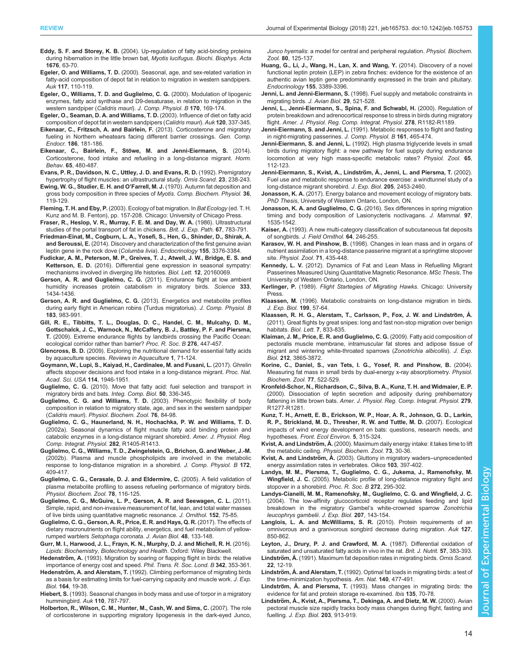- <span id="page-13-0"></span>Eddy, S. F. and Storey, K. B. [\(2004\). Up-regulation of fatty acid-binding proteins](http://dx.doi.org/10.1016/j.bbaexp.2003.10.008) [during hibernation in the little brown bat,](http://dx.doi.org/10.1016/j.bbaexp.2003.10.008) Myotis lucifugus. Biochi. Biophys. Acta 1676[, 63-70.](http://dx.doi.org/10.1016/j.bbaexp.2003.10.008)
- Egeler, O. and Williams, T. D. [\(2000\). Seasonal, age, and sex-related variation in](http://dx.doi.org/10.1642/0004-8038(2000)117[0110:SAASRV]2.0.CO;2) [fatty-acid composition of depot fat in relation to migration in western sandpipers.](http://dx.doi.org/10.1642/0004-8038(2000)117[0110:SAASRV]2.0.CO;2) Auk 117[, 110-119.](http://dx.doi.org/10.1642/0004-8038(2000)117[0110:SAASRV]2.0.CO;2)
- [Egeler, O., Williams, T. D. and Guglielmo, C. G.](http://dx.doi.org/10.1007/s003600050272) (2000). Modulation of lipogenic [enzymes, fatty acid synthase and D9-desaturase, in relation to migration in the](http://dx.doi.org/10.1007/s003600050272) [western sandpiper \(](http://dx.doi.org/10.1007/s003600050272)Calidris mauri). J. Comp. Physiol. B 170, 169-174.
- [Egeler, O., Seaman, D. A. and Williams, T. D.](http://dx.doi.org/10.1642/0004-8038(2003)120[0337:IODOFC]2.0.CO;2) (2003). Influence of diet on fatty acid [composition of depot fat in western sandpipers \(](http://dx.doi.org/10.1642/0004-8038(2003)120[0337:IODOFC]2.0.CO;2)Calidris mauri). Auk 120, 337-345.
- [Eikenaar, C., Fritzsch, A. and Bairlein, F.](http://dx.doi.org/10.1016/j.ygcen.2013.02.042) (2013). Corticosterone and migratory [fueling in Northern wheatears facing different barrier crossings.](http://dx.doi.org/10.1016/j.ygcen.2013.02.042) Gen. Comp. Endocr. 186[, 181-186.](http://dx.doi.org/10.1016/j.ygcen.2013.02.042)
- Eikenaar, C., Bairlein, F., Stö[we, M. and Jenni-Eiermann, S.](http://dx.doi.org/10.1016/j.yhbeh.2014.03.015) (2014). [Corticosterone, food intake and refueling in a long-distance migrant.](http://dx.doi.org/10.1016/j.yhbeh.2014.03.015) Horm. Behav. 65[, 480-487.](http://dx.doi.org/10.1016/j.yhbeh.2014.03.015)
- [Evans, P. R., Davidson, N. C., Uttley, J. D. and Evans, R. D.](http://dx.doi.org/10.2307/3676644) (1992). Premigratory [hypertrophy of flight muscles: an ultrastructural study.](http://dx.doi.org/10.2307/3676644) Ornis Scand. 23, 238-243.
- [Ewing, W. G., Studier, E. H. and O](http://dx.doi.org/10.1016/0010-406X(70)90658-4)'Farrell, M. J. (1970). Autumn fat deposition and [gross body composition in three species of](http://dx.doi.org/10.1016/0010-406X(70)90658-4) Myotis. Comp. Biochem. Physiol. 36, [119-129.](http://dx.doi.org/10.1016/0010-406X(70)90658-4)
- Fleming, T. H. and Eby, P. (2003). Ecology of bat migration. In Bat Ecology (ed. T. H. Kunz and M. B. Fenton), pp. 157-208. Chicago: University of Chicago Press.
- Fraser, R., Heslop, V. R., Murray, F. E. M. and Day, W. A. (1986). Ultrastructural studies of the portal transport of fat in chickens. Brit. J. Exp. Path. 67, 783-791.
- [Friedman-Einat, M., Cogburn, L. A., Yosefi, S., Hen, G., Shinder, D., Shirak, A.](http://dx.doi.org/10.1210/en.2014-1273) and Seroussi, E. [\(2014\). Discovery and characterization of the first genuine avian](http://dx.doi.org/10.1210/en.2014-1273) [leptin gene in the rock dove \(](http://dx.doi.org/10.1210/en.2014-1273)Columba livia). Endocrinology 155, 3376-3384.
- [Fudickar, A. M., Peterson, M. P., Greives, T. J., Atwell, J. W., Bridge, E. S. and](http://dx.doi.org/10.1098/rsbl.2016.0069) Ketterson, E. D. [\(2016\). Differential gene expression in seasonal sympatry:](http://dx.doi.org/10.1098/rsbl.2016.0069) [mechanisms involved in diverging life histories.](http://dx.doi.org/10.1098/rsbl.2016.0069) Biol. Lett. 12, 20160069.
- Gerson, A. R. and Guglielmo, C. G. [\(2011\). Endurance flight at low ambient](http://dx.doi.org/10.1126/science.1210449) [humidity increases protein catabolism in migratory birds.](http://dx.doi.org/10.1126/science.1210449) Science 333, [1434-1436.](http://dx.doi.org/10.1126/science.1210449)
- Gerson, A. R. and Guglielmo, C. G. [\(2013\). Energetics and metabolite profiles](http://dx.doi.org/10.1007/s00360-013-0767-y) [during early flight in American robins \(Turdus migratorius\).](http://dx.doi.org/10.1007/s00360-013-0767-y) J. Comp. Physiol. B 183[, 983-991.](http://dx.doi.org/10.1007/s00360-013-0767-y)
- [Gill, R. E., Tibbitts, T. L., Douglas, D. C., Handel, C. M., Mulcahy, D. M.,](http://dx.doi.org/10.1098/rspb.2008.1142) [Gottschalck, J. C., Warnock, N., McCaffery, B. J., Battley, P. F. and Piersma,](http://dx.doi.org/10.1098/rspb.2008.1142) T. [\(2009\). Extreme endurance flights by landbirds crossing the Pacific Ocean:](http://dx.doi.org/10.1098/rspb.2008.1142) [ecological corridor rather than barrier?](http://dx.doi.org/10.1098/rspb.2008.1142) Proc. R. Soc. B 276, 447-457.
- Glencross, B. D. [\(2009\). Exploring the nutritional demand for essential fatty acids](http://dx.doi.org/10.1111/j.1753-5131.2009.01006.x) [by aquaculture species.](http://dx.doi.org/10.1111/j.1753-5131.2009.01006.x) Reviews in Aquaculture 1, 71-124.
- [Goymann, W., Lupi, S., Kaiyad, H., Cardinalee, M. and Fusani, L.](http://dx.doi.org/10.1073/pnas.1619565114) (2017). Ghrelin [affects stopover decisions and food intake in a long-distance migrant.](http://dx.doi.org/10.1073/pnas.1619565114) Proc. Nat. [Acad. Sci. USA](http://dx.doi.org/10.1073/pnas.1619565114) 114, 1946-1951.
- Guglielmo, C. G. [\(2010\). Move that fatty acid: fuel selection and transport in](http://dx.doi.org/10.1093/icb/icq097) [migratory birds and bats.](http://dx.doi.org/10.1093/icb/icq097) Integ. Comp. Biol. 50, 336-345.
- [Guglielmo, C. G. and Williams, T. D.](http://dx.doi.org/10.1086/367942) (2003). Phenotypic flexibility of body [composition in relation to migratory state, age, and sex in the western sandpiper](http://dx.doi.org/10.1086/367942) (Calidris mauri). [Physiol. Biochem. Zool.](http://dx.doi.org/10.1086/367942) 76, 84-98.
- [Guglielmo, C. G., Haunerland, N. H., Hochachka, P. W. and Williams, T. D.](http://dx.doi.org/10.1152/ajpregu.00267.2001) [\(2002a\). Seasonal dynamics of flight muscle fatty acid binding protein and](http://dx.doi.org/10.1152/ajpregu.00267.2001) [catabolic enzymes in a long-distance migrant shorebird.](http://dx.doi.org/10.1152/ajpregu.00267.2001) Amer. J. Physiol. Reg. [Comp. Integrat. Physiol.](http://dx.doi.org/10.1152/ajpregu.00267.2001) 282, R1405-R1413.
- [Guglielmo, C. G., Williams, T. D., Zwingelstein, G., Brichon, G. and Weber, J.-M.](http://dx.doi.org/10.1007/s00360-002-0266-z) [\(2002b\). Plasma and muscle phospholipids are involved in the metabolic](http://dx.doi.org/10.1007/s00360-002-0266-z) [response to long-distance migration in a shorebird.](http://dx.doi.org/10.1007/s00360-002-0266-z) J. Comp. Physiol. B 172. [409-417.](http://dx.doi.org/10.1007/s00360-002-0266-z)
- [Guglielmo, C. G., Cerasale, D. J. and Eldermire, C.](http://dx.doi.org/10.1086/425198) (2005). A field validation of [plasma metabolite profiling to assess refueling performance of migratory birds.](http://dx.doi.org/10.1086/425198) [Physiol. Biochem. Zool.](http://dx.doi.org/10.1086/425198) 78, 116-125.
- [Guglielmo, C. G., McGuire, L. P., Gerson, A. R. and Seewagen, C. L.](http://dx.doi.org/10.1007/s10336-011-0724-z) (2011). [Simple, rapid, and non-invasive measurement of fat, lean, and total water masses](http://dx.doi.org/10.1007/s10336-011-0724-z) [of live birds using quantitative magnetic resonance.](http://dx.doi.org/10.1007/s10336-011-0724-z) J. Ornithol. 152, 75-85.
- [Guglielmo, C. G., Gerson, A. R., Price, E. R. and Hays, Q. R.](http://dx.doi.org/10.1111/jav.01351) (2017). The effects of [dietary macronutrients on flight ability, energetics, and fuel metabolism of yellow](http://dx.doi.org/10.1111/jav.01351)rumped warblers [Setophaga coronata](http://dx.doi.org/10.1111/jav.01351). J. Avian Biol. 48, 133-148.
- Gurr, M. I., Harwood, J. L., Frayn, K. N., Murphy, D. J. and Michell, R. H. (2016). Lipids: Biochemistry, Biotechnology and Health. Oxford: Wiley Blackwell.
- Hedenström, A. [\(1993\). Migration by soaring or flapping flight in birds: the relative](http://dx.doi.org/10.1098/rstb.1993.0164) [importance of energy cost and speed.](http://dx.doi.org/10.1098/rstb.1993.0164) Phil. Trans. R. Soc. Lond. B 342, 353-361.
- Hedenström, A. and Alerstam, T. (1992). Climbing performance of migrating birds as a basis for estimating limits for fuel-carrying capacity and muscle work. J. Exp. Biol. 164, 19-38.
- Hiebert, S. [\(1993\). Seasonal changes in body mass and use of torpor in a migratory](http://dx.doi.org/10.2307/4088634) [hummingbird.](http://dx.doi.org/10.2307/4088634) Auk 110, 787-797.
- [Holberton, R., Wilson, C. M., Hunter, M., Cash, W. and Sims, C.](http://dx.doi.org/10.1086/508816) (2007). The role [of corticosterone in supporting migratory lipogenesis in the dark-eyed Junco,](http://dx.doi.org/10.1086/508816)

Junco hyemalis[: a model for central and peripheral regulation.](http://dx.doi.org/10.1086/508816) Physiol. Biochem. Zool. 80[, 125-137.](http://dx.doi.org/10.1086/508816)

- [Huang, G., Li, J., Wang, H., Lan, X. and Wang, Y.](http://dx.doi.org/10.1210/en.2014-1084) (2014). Discovery of a novel [functional leptin protein \(LEP\) in zebra finches: evidence for the existence of an](http://dx.doi.org/10.1210/en.2014-1084) [authentic avian leptin gene predominantly expressed in the brain and pituitary.](http://dx.doi.org/10.1210/en.2014-1084) [Endocrinology](http://dx.doi.org/10.1210/en.2014-1084) 155, 3389-3396.
- Jenni, L. and Jenni-Eiermann, S. [\(1998\). Fuel supply and metabolic constraints in](http://dx.doi.org/10.2307/3677171) [migrating birds.](http://dx.doi.org/10.2307/3677171) J. Avian Biol. 29, 521-528.
- Jenni, L., Jenni-Eiermann, S., Spina, F. and Schwabl, H. (2000). Regulation of protein breakdown and adrenocortical response to stress in birds during migratory flight. Amer. J. Physiol. Reg. Comp. Integrat. Physiol. 278, R1182-R1189.
- Jenni-Eiermann, S. and Jenni, L. [\(1991\). Metabolic responses to flight and fasting](http://dx.doi.org/10.1007/BF00257901) [in night-migrating passerines.](http://dx.doi.org/10.1007/BF00257901) J. Comp. Physiol. B 161, 465-474.
- Jenni-Eiermann, S. and Jenni, L. [\(1992\). High plasma triglyceride levels in small](http://dx.doi.org/10.1086/physzool.65.1.30158242) [birds during migratory flight: a new pathway for fuel supply during endurance](http://dx.doi.org/10.1086/physzool.65.1.30158242) [locomotion at very high mass-specific metabolic rates?](http://dx.doi.org/10.1086/physzool.65.1.30158242) Physiol. Zool. 65, [112-123.](http://dx.doi.org/10.1086/physzool.65.1.30158242)
- Jenni-Eiermann, S., Kvist, A., Lindström, Å., Jenni, L. and Piersma, T. (2002). Fuel use and metabolic response to endurance exercise: a windtunnel study of a long-distance migrant shorebird. J. Exp. Biol. 205, 2453-2460.
- Jonasson, K. A. (2017). Energy balance and movement ecology of migratory bats. PhD Thesis, University of Western Ontario, London, ON.
- Jonasson, K. A. and Guglielmo, C. G. [\(2016\). Sex differences in spring migration](http://dx.doi.org/10.1093/jmammal/gyw119) [timing and body composition of Lasionycteris noctivagans.](http://dx.doi.org/10.1093/jmammal/gyw119) J. Mammal. 97, [1535-1542.](http://dx.doi.org/10.1093/jmammal/gyw119)
- Kaiser, A. (1993). A new multi-category classification of subcutaneous fat deposits of songbirds. J. Field Ornithol. 64, 246-255.
- Karasov, W. H. and Pinshow, B. [\(1998\). Changes in lean mass and in organs of](http://dx.doi.org/10.1086/515428) [nutrient assimilation in a long-distance passerine migrant at a springtime stopover](http://dx.doi.org/10.1086/515428) site. [Physiol. Zool.](http://dx.doi.org/10.1086/515428) 71, 435-448.
- Kennedy, L. V. (2012). Dynamics of Fat and Lean Mass in Refuelling Migrant Passerines Measured Using Quantitative Magnetic Resonance. MSc Thesis, The University of Western Ontario, London, ON.
- Kerlinger, P. (1989). Flight Startegies of Migrating Hawks. Chicago: University Press.
- Klaassen, M. (1996). Metabolic constraints on long-distance migration in birds. J. Exp. Biol. 199, 57-64.
- Klaassen, R. H. G., Alerstam, T., Carlsson, P., Fox, J. W. and Lindström, A. [\(2011\). Great flights by great snipes: long and fast non-stop migration over benign](http://dx.doi.org/10.1098/rsbl.2011.0343) habitats. Biol. Lett. 7[, 833-835.](http://dx.doi.org/10.1098/rsbl.2011.0343)
- [Klaiman, J. M., Price, E. R. and Guglielmo, C. G.](http://dx.doi.org/10.1242/jeb.034967) (2009). Fatty acid composition of [pectoralis muscle membrane, intramuscular fat stores and adipose tissue of](http://dx.doi.org/10.1242/jeb.034967) [migrant and wintering white-throated sparrows \(](http://dx.doi.org/10.1242/jeb.034967)Zonotrichia albicollis). J. Exp. Biol. 212[, 3865-3872.](http://dx.doi.org/10.1242/jeb.034967)
- [Korine, C., Daniel, S., van Tets, I. G., Yosef, R. and Pinshow, B.](http://dx.doi.org/10.1086/383507) (2004). [Measuring fat mass in small birds by dual-energy x-ray absorptiometry.](http://dx.doi.org/10.1086/383507) Physiol. [Biochem. Zool.](http://dx.doi.org/10.1086/383507) 77, 522-529.
- Kronfeld-Schor, N., Richardson, C., Silva, B. A., Kunz, T. H. and Widmaier, E. P. (2000). Dissociation of leptin secretion and adiposity during prehibernatory fattening in little brown bats. Amer. J. Physiol. Reg. Comp. Integrat. Physiol. 279, R1277-R1281.
- [Kunz, T. H., Arnett, E. B., Erickson, W. P., Hoar, A. R., Johnson, G. D., Larkin,](http://dx.doi.org/10.1890/1540-9295(2007)5[315:EIOWED]2.0.CO;2) [R. P., Strickland, M. D., Thresher, R. W. and Tuttle, M. D.](http://dx.doi.org/10.1890/1540-9295(2007)5[315:EIOWED]2.0.CO;2) (2007). Ecological [impacts of wind energy development on bats: questions, research needs, and](http://dx.doi.org/10.1890/1540-9295(2007)5[315:EIOWED]2.0.CO;2) hypotheses. [Front. Ecol Environ.](http://dx.doi.org/10.1890/1540-9295(2007)5[315:EIOWED]2.0.CO;2) 5, 315-324.
- Kvist, A. and Lindström, Å. [\(2000\). Maximum daily energy intake: it takes time to lift](http://dx.doi.org/10.1086/316719) the metabolic ceiling. [Physiol. Biochem. Zool.](http://dx.doi.org/10.1086/316719) 73, 30-36.
- Kvist, A. and Lindström, Å. [\(2003\). Gluttony in migratory waders](http://dx.doi.org/10.1034/j.1600-0706.2003.12259.x)-unprecedented [energy assimilation rates in vertebrates.](http://dx.doi.org/10.1034/j.1600-0706.2003.12259.x) Oikos 103, 397-402.
- [Landys, M. M., Piersma, T., Guglielmo, C. G., Jukema, J., Ramenofsky, M.](http://dx.doi.org/10.1098/rspb.2004.2952) Wingfield, J. C. [\(2005\). Metabolic profile of long-distance migratory flight and](http://dx.doi.org/10.1098/rspb.2004.2952) [stopover in a shorebird.](http://dx.doi.org/10.1098/rspb.2004.2952) Proc. R. Soc. B 272, 295-302.
- [Landys-Cianelli, M. M., Ramenofsky, M., Guglielmo, C. G. and Wingfield, J. C.](http://dx.doi.org/10.1242/jeb.00734) [\(2004\). The low-affinity glucocorticoid receptor regulates feeding and lipid](http://dx.doi.org/10.1242/jeb.00734) [breakdown in the migratory Gambel](http://dx.doi.org/10.1242/jeb.00734)'s white-crowned sparrow Zonotrichia [leucophrys gambelii](http://dx.doi.org/10.1242/jeb.00734). J. Exp. Biol. 207, 143-154.
- [Langlois, L. A. and McWilliams, S. R.](http://dx.doi.org/10.1525/auk.2010.10068) (2010). Protein requirements of an [omnivorous and a granivorous songbird decrease during migration.](http://dx.doi.org/10.1525/auk.2010.10068) Auk 127, [850-862.](http://dx.doi.org/10.1525/auk.2010.10068)
- [Leyton, J., Drury, P. J. and Crawford, M. A.](http://dx.doi.org/10.1079/BJN19870046) (1987). Differential oxidation of [saturated and unsaturated fatty acids in vivo in the rat.](http://dx.doi.org/10.1079/BJN19870046) Brit. J. Nutrit. 57, 383-393.
- Lindström, Å. [\(1991\). Maximum fat deposition rates in migrating birds.](http://dx.doi.org/10.2307/3676616) Ornis Scand. 22[, 12-19.](http://dx.doi.org/10.2307/3676616)
- Lindström, Å. and Alerstam, T. [\(1992\). Optimal fat loads in migrating birds: a test of](http://dx.doi.org/10.1086/285422) [the time-minimization hypothesis.](http://dx.doi.org/10.1086/285422) Am. Nat. 140, 477-491.
- Lindström, Å. and Piersma, T. [\(1993\). Mass changes in migrating birds: the](http://dx.doi.org/10.1111/j.1474-919X.1993.tb02811.x) [evidence for fat and protein storage re-examined.](http://dx.doi.org/10.1111/j.1474-919X.1993.tb02811.x) Ibis 135, 70-78.
- Lindström, Å., Kvist, A., Piersma, T., Dekinga, A. and Dietz, M. W. (2000). Avian pectoral muscle size rapidly tracks body mass changes during flight, fasting and fuelling. J. Exp. Biol. 203, 913-919.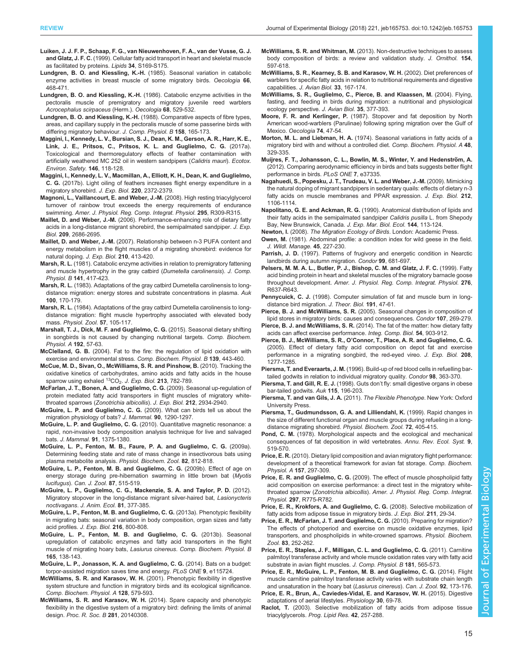- <span id="page-14-0"></span>[Luiken, J. J. F. P., Schaap, F. G., van Nieuwenhoven, F. A., van der Vusse, G. J.](http://dx.doi.org/10.1007/BF02562278) and Glatz, J. F. C. [\(1999\). Cellular fatty acid transport in heart and skeletal muscle](http://dx.doi.org/10.1007/BF02562278) [as facilitated by proteins.](http://dx.doi.org/10.1007/BF02562278) Lipids 34, S169-S175.
- [Lundgren, B. O. and Kiessling, K.-H.](http://dx.doi.org/10.1007/BF00379335) (1985). Seasonal variation in catabolic [enzyme activities in breast muscle of some migratory birds.](http://dx.doi.org/10.1007/BF00379335) Oecologia 66, [468-471.](http://dx.doi.org/10.1007/BF00379335)
- Lundgren, B. O. and Kiessling, K.-H. [\(1986\). Catabolic enzyme activities in the](http://dx.doi.org/10.1007/BF00378767) [pectoralis muscle of premigratory and migratory juvenile reed warblers](http://dx.doi.org/10.1007/BF00378767) [Acrocephalus scirpaceus](http://dx.doi.org/10.1007/BF00378767) (Herm.). Oecologia 68, 529-532.
- Lundgren, B. O. and Kiessling, K.-H. [\(1988\). Comparative aspects of fibre types,](http://dx.doi.org/10.1007/BF01075830) [areas, and capillary supply in the pectoralis muscle of some passerine birds with](http://dx.doi.org/10.1007/BF01075830) [differing migratory behaviour.](http://dx.doi.org/10.1007/BF01075830) J. Comp. Physiol. B 158, 165-173.
- [Maggini, I., Kennedy, L. V., Bursian, S. J., Dean, K. M., Gerson, A. R., Harr, K. E.,](http://dx.doi.org/10.1016/j.ecoenv.2017.04.025) [Link, J. E., Pritsos, C., Pritsos, K. L. and Guglielmo, C. G.](http://dx.doi.org/10.1016/j.ecoenv.2017.04.025) (2017a). [Toxicological and thermoregulatory effects of feather contamination with](http://dx.doi.org/10.1016/j.ecoenv.2017.04.025) [artificially weathered MC 252 oil in western sandpipers \(](http://dx.doi.org/10.1016/j.ecoenv.2017.04.025)Calidris mauri). Ecotox. [Environ. Safety](http://dx.doi.org/10.1016/j.ecoenv.2017.04.025). 146, 118-128.
- [Maggini, I., Kennedy, L. V., Macmillan, A., Elliott, K. H., Dean, K. and Guglielmo,](http://dx.doi.org/10.1242/jeb.158220) C. G. [\(2017b\). Light oiling of feathers increases flight energy expenditure in a](http://dx.doi.org/10.1242/jeb.158220) [migratory shorebird.](http://dx.doi.org/10.1242/jeb.158220) J. Exp. Biol. 220, 2372-2379.
- [Magnoni, L., Vaillancourt, E. and Weber, J.-M.](http://dx.doi.org/10.1152/ajpregu.00882.2007) (2008). High resting triacylglycerol [turnover of rainbow trout exceeds the energy requirements of endurance](http://dx.doi.org/10.1152/ajpregu.00882.2007) swimming. [Amer. J. Physiol. Reg. Comp. Integrat. Physiol.](http://dx.doi.org/10.1152/ajpregu.00882.2007) 295, R309-R315.
- Maillet, D. and Weber, J.-M. [\(2006\). Performance-enhancing role of dietary fatty](http://dx.doi.org/10.1242/jeb.02299) [acids in a long-distance migrant shorebird, the semipalmated sandpiper.](http://dx.doi.org/10.1242/jeb.02299) J. Exp. Biol. 209[, 2686-2695.](http://dx.doi.org/10.1242/jeb.02299)
- Maillet, D. and Weber, J.-M. [\(2007\). Relationship between n-3 PUFA content and](http://dx.doi.org/10.1242/jeb.02660) [energy metabolism in the flight muscles of a migrating shorebird: evidence for](http://dx.doi.org/10.1242/jeb.02660) [natural doping.](http://dx.doi.org/10.1242/jeb.02660) J. Exp. Biol. 210, 413-420.
- Marsh, R. L. [\(1981\). Catabolic enzyme activities in relation to premigratory fattening](http://dx.doi.org/10.1007/BF01101461) [and muscle hypertrophy in the gray catbird \(](http://dx.doi.org/10.1007/BF01101461)Dumetella carolinensis). J. Comp. Physiol. B 141[, 417-423.](http://dx.doi.org/10.1007/BF01101461)
- Marsh, R. L. (1983). Adaptations of the gray catbird Dumetella carolinensis to longdistance migration: energy stores and substrate concentrations in plasma. Auk 100, 170-179.
- Marsh, R. L. [\(1984\). Adaptations of the gray catbird Dumetella carolinensis to long](http://dx.doi.org/10.1086/physzool.57.1.30155973)[distance migration: flight muscle hypertrophy associated with elevated body](http://dx.doi.org/10.1086/physzool.57.1.30155973) mass. [Physiol. Zool.](http://dx.doi.org/10.1086/physzool.57.1.30155973) 57, 105-117.
- [Marshall, T. J., Dick, M. F. and Guglielmo, C. G.](http://dx.doi.org/10.1016/j.cbpa.2015.11.014) (2015). Seasonal dietary shifting [in songbirds is not caused by changing nutritional targets.](http://dx.doi.org/10.1016/j.cbpa.2015.11.014) Comp. Biochem. [Physiol. A](http://dx.doi.org/10.1016/j.cbpa.2015.11.014) 192, 57-63.
- McClelland, G. B. [\(2004\). Fat to the fire: the regulation of lipid oxidation with](http://dx.doi.org/10.1016/j.cbpc.2004.07.003) [exercise and environmental stress.](http://dx.doi.org/10.1016/j.cbpc.2004.07.003) Comp. Biochem. Physiol. B 139, 443-460.
- [McCue, M. D., Sivan, O., McWilliams, S. R. and Pinshow, B.](http://dx.doi.org/10.1242/jeb.039842) (2010). Tracking the [oxidative kinetics of carbohydrates, amino acids and fatty acids in the house](http://dx.doi.org/10.1242/jeb.039842) [sparrow](http://dx.doi.org/10.1242/jeb.039842) [using](http://dx.doi.org/10.1242/jeb.039842) [exhaled](http://dx.doi.org/10.1242/jeb.039842)  ${}^{13}CO_2$ . [J. Exp. Biol.](http://dx.doi.org/10.1242/jeb.039842) 213, 782-789.
- [McFarlan, J. T., Bonen, A. and Guglielmo, C. G.](http://dx.doi.org/10.1242/jeb.031682) (2009). Seasonal up-regulation of [protein mediated fatty acid transporters in flight muscles of migratory white](http://dx.doi.org/10.1242/jeb.031682)throated sparrows ([Zonotrichia albicollis](http://dx.doi.org/10.1242/jeb.031682)). J. Exp. Biol. 212, 2934-2940.
- McGuire, L. P. and Guglielmo, C. G. [\(2009\). What can birds tell us about the](http://dx.doi.org/10.1644/09-MAMM-S-084R.1) [migration physiology of bats?](http://dx.doi.org/10.1644/09-MAMM-S-084R.1) J. Mammal. 90, 1290-1297.
- McGuire, L. P. and Guglielmo, C. G. [\(2010\). Quantitative magnetic resonance: a](http://dx.doi.org/10.1644/10-MAMM-A-051.1) [rapid, non-invasive body composition analysis technique for live and salvaged](http://dx.doi.org/10.1644/10-MAMM-A-051.1) bats. J. Mammal. 91[, 1375-1380.](http://dx.doi.org/10.1644/10-MAMM-A-051.1)
- [McGuire, L. P., Fenton, M. B., Faure, P. A. and Guglielmo, C. G.](http://dx.doi.org/10.1086/605951) (2009a). [Determining feeding state and rate of mass change in insectivorous bats using](http://dx.doi.org/10.1086/605951) [plasma metabolite analysis.](http://dx.doi.org/10.1086/605951) Physiol. Biochem. Zool. 82, 812-818.
- [McGuire, L. P., Fenton, M. B. and Guglielmo, C. G.](http://dx.doi.org/10.1139/Z09-041) (2009b). Effect of age on [energy storage during pre-hibernation swarming in little brown bat \(](http://dx.doi.org/10.1139/Z09-041)Myotis lucifugus). [Can. J. Zool.](http://dx.doi.org/10.1139/Z09-041) 87, 515-519.
- [McGuire, L. P., Guglielmo, C. G., Mackenzie, S. A. and Taylor, P. D.](http://dx.doi.org/10.1111/j.1365-2656.2011.01912.x) (2012). [Migratory stopover in the long-distance migrant silver-haired bat,](http://dx.doi.org/10.1111/j.1365-2656.2011.01912.x) Lasionycteris noctivagans. [J. Anim. Ecol.](http://dx.doi.org/10.1111/j.1365-2656.2011.01912.x) 81, 377-385.
- [McGuire, L. P., Fenton, M. B. and Guglielmo, C. G.](http://dx.doi.org/10.1242/jeb.072868) (2013a). Phenotypic flexibility [in migrating bats: seasonal variation in body composition, organ sizes and fatty](http://dx.doi.org/10.1242/jeb.072868) [acid profiles.](http://dx.doi.org/10.1242/jeb.072868) J. Exp. Biol. 216, 800-808.
- [McGuire, L. P., Fenton, M. B. and Guglielmo, C. G.](http://dx.doi.org/10.1016/j.cbpb.2013.03.013) (2013b). Seasonal [upregulation of catabolic enzymes and fatty acid transporters in the flight](http://dx.doi.org/10.1016/j.cbpb.2013.03.013) [muscle of migrating hoary bats,](http://dx.doi.org/10.1016/j.cbpb.2013.03.013) Lasiurus cinereus. Comp. Biochem. Physiol. B 165[, 138-143.](http://dx.doi.org/10.1016/j.cbpb.2013.03.013)
- [McGuire, L. P., Jonasson, K. A. and Guglielmo, C. G.](http://dx.doi.org/10.1371/journal.pone.0115724) (2014). Bats on a budget: [torpor-assisted migration saves time and energy.](http://dx.doi.org/10.1371/journal.pone.0115724) PLoS ONE 9, e115724.
- McWilliams, S. R. and Karasov, W. H. [\(2001\). Phenotypic flexibility in digestive](http://dx.doi.org/10.1016/S1095-6433(00)00336-6) [system structure and function in migratory birds and its ecological significance.](http://dx.doi.org/10.1016/S1095-6433(00)00336-6) [Comp. Biochem. Physiol. A](http://dx.doi.org/10.1016/S1095-6433(00)00336-6) 128, 579-593.
- [McWilliams, S. R. and Karasov, W. H.](http://dx.doi.org/10.1098/rspb.2014.0308) (2014). Spare capacity and phenotypic [flexibility in the digestive system of a migratory bird: defining the limits of animal](http://dx.doi.org/10.1098/rspb.2014.0308) design. [Proc. R. Soc. B](http://dx.doi.org/10.1098/rspb.2014.0308) 281, 20140308.
- McWilliams, S. R. and Whitman, M. [\(2013\). Non-destructive techniques to assess](http://dx.doi.org/10.1007/s10336-013-0946-3) [body composition of birds: a review and validation study.](http://dx.doi.org/10.1007/s10336-013-0946-3) J. Ornithol. 154, [597-618.](http://dx.doi.org/10.1007/s10336-013-0946-3)
- [McWilliams, S. R., Kearney, S. B. and Karasov, W. H.](http://dx.doi.org/10.1034/j.1600-048X.2002.330207.x) (2002). Diet preferences of [warblers for specific fatty acids in relation to nutritional requirements and digestive](http://dx.doi.org/10.1034/j.1600-048X.2002.330207.x) capabilities. [J. Avian Biol.](http://dx.doi.org/10.1034/j.1600-048X.2002.330207.x) 33, 167-174.
- [McWilliams, S. R., Guglielmo, C., Pierce, B. and Klaassen, M.](http://dx.doi.org/10.1111/j.0908-8857.2004.03378.x) (2004). Flying, [fasting, and feeding in birds during migration: a nutritional and physiological](http://dx.doi.org/10.1111/j.0908-8857.2004.03378.x) [ecology perspective.](http://dx.doi.org/10.1111/j.0908-8857.2004.03378.x) J. Avian Biol. 35, 377-393.
- Moore, F. R. and Kerlinger, P. [\(1987\). Stopover and fat deposition by North](http://dx.doi.org/10.1007/BF00377344) [American wood-warblers \(Parulinae\) following spring migration over the Gulf of](http://dx.doi.org/10.1007/BF00377344) Mexico. [Oecologia](http://dx.doi.org/10.1007/BF00377344) 74, 47-54.
- Morton, M. L. and Liebman, H. A. [\(1974\). Seasonal variations in fatty acids of a](http://dx.doi.org/10.1016/0300-9629(74)90713-0) [migratory bird with and without a controlled diet.](http://dx.doi.org/10.1016/0300-9629(74)90713-0) Comp. Biochem. Physiol. A 48, [329-335.](http://dx.doi.org/10.1016/0300-9629(74)90713-0)
- Muijres, F. T., Johansson, C. L., Bowlin, M. S., Winter, Y. and Hedenström, A. [\(2012\). Comparing aerodynamic efficiency in birds and bats suggests better flight](http://dx.doi.org/10.1371/journal.pone.0037335) [performance in birds.](http://dx.doi.org/10.1371/journal.pone.0037335) PLoS ONE 7, e37335.
- [Nagahuedi, S., Popesku, J. T., Trudeau, V. L. and Weber, J.-M.](http://dx.doi.org/10.1242/jeb.027888) (2009). Mimicking [the natural doping of migrant sandpipers in sedentary quails: effects of dietary n-3](http://dx.doi.org/10.1242/jeb.027888) [fatty acids on muscle membranes and PPAR expression.](http://dx.doi.org/10.1242/jeb.027888) J. Exp. Biol. 212, [1106-1114.](http://dx.doi.org/10.1242/jeb.027888)
- Napolitano, G. E. and Ackman, R. G. [\(1990\). Anatomical distribution of lipids and](http://dx.doi.org/10.1016/0022-0981(90)90023-6) [their fatty acids in the semipalmated sandpiper](http://dx.doi.org/10.1016/0022-0981(90)90023-6) Calidris pusilla L. from Shepody [Bay, New Brunswick, Canada.](http://dx.doi.org/10.1016/0022-0981(90)90023-6) J. Exp. Mar. Biol. Ecol. 144, 113-124.
- Newton, I. (2008). The Migration Ecology of Birds. London: Academic Press.
- Owen, M. [\(1981\). Abdominal profile: a condition index for wild geese in the field.](http://dx.doi.org/10.2307/3807891) [J. Wildl. Manage.](http://dx.doi.org/10.2307/3807891) 45, 227-230.
- Parrish, J. D. [\(1997\). Patterns of frugivory and energetic condition in Nearctic](http://dx.doi.org/10.2307/1370480) [landbirds during autumn migration.](http://dx.doi.org/10.2307/1370480) Condor 99, 681-697
- Pelsers, M. M. A. L., Butler, P. J., Bishop, C. M. and Glatz, J. F. C. (1999). Fatty acid binding protein in heart and skeletal muscles of the migratory barnacle goose throughout development. Amer. J. Physiol. Reg. Comp. Integrat. Physiol. 276, R637-R643.
- Pennycuick, C. J. [\(1998\). Computer simulation of fat and muscle burn in long](http://dx.doi.org/10.1006/jtbi.1997.0572)[distance bird migration.](http://dx.doi.org/10.1006/jtbi.1997.0572) J. Theor. Biol. 191, 47-61.
- Pierce, B. J. and McWilliams, S. R. [\(2005\). Seasonal changes in composition of](http://dx.doi.org/10.1650/7809) [lipid stores in migratory birds: causes and consequences.](http://dx.doi.org/10.1650/7809) Condor 107, 269-279.
- Pierce, B. J. and McWilliams, S. R. [\(2014\). The fat of the matter: how dietary fatty](http://dx.doi.org/10.1093/icb/icu098) [acids can affect exercise performance.](http://dx.doi.org/10.1093/icb/icu098) Integ. Comp. Biol. 54, 903-912.
- Pierce, B. J., McWilliams, S. R., O'[Connor, T., Place, A. R. and Guglielmo, C. G.](http://dx.doi.org/10.1242/jeb.01493) [\(2005\). Effect of dietary fatty acid composition on depot fat and exercise](http://dx.doi.org/10.1242/jeb.01493) [performance in a migrating songbird, the red-eyed vireo.](http://dx.doi.org/10.1242/jeb.01493) J. Exp. Biol. 208, [1277-1285.](http://dx.doi.org/10.1242/jeb.01493)
- Piersma, T. and Everaarts, J. M. [\(1996\). Build-up of red blood cells in refuelling bar](http://dx.doi.org/10.2307/1369154)[tailed godwits in relation to individual migratory quality.](http://dx.doi.org/10.2307/1369154) Condor 98, 363-370.
- Piersma, T. and Gill, R. E. J. (1998). Guts don'[t fly: small digestive organs in obese](http://dx.doi.org/10.2307/4089124) [bar-tailed godwits.](http://dx.doi.org/10.2307/4089124) Auk 115, 196-203.
- Piersma, T. and van Gils, J. A. (2011). The Flexible Phenotype. New York: Oxford University Press.
- [Piersma, T., Gudmundsson, G. A. and Lilliendahl, K.](http://dx.doi.org/10.1086/316680) (1999). Rapid changes in [the size of different functional organ and muscle groups during refueling in a long](http://dx.doi.org/10.1086/316680)[distance migrating shorebird.](http://dx.doi.org/10.1086/316680) Physiol. Biochem. Zool. 72, 405-415.
- Pond, C. M. [\(1978\). Morphological aspects and the ecological and mechanical](http://dx.doi.org/10.1146/annurev.es.09.110178.002511) [consequences of fat deposition in wild vertebrates.](http://dx.doi.org/10.1146/annurev.es.09.110178.002511) Annu. Rev. Ecol. Syst. 9, [519-570.](http://dx.doi.org/10.1146/annurev.es.09.110178.002511)
- Price, E. R. [\(2010\). Dietary lipid composition and avian migratory flight performance:](http://dx.doi.org/10.1016/j.cbpa.2010.05.019) [development of a theoretical framework for avian fat storage.](http://dx.doi.org/10.1016/j.cbpa.2010.05.019) Comp. Biochem. Physiol. A 157[, 297-309.](http://dx.doi.org/10.1016/j.cbpa.2010.05.019)
- Price, E. R. and Guglielmo, C. G. [\(2009\). The effect of muscle phospholipid fatty](http://dx.doi.org/10.1152/ajpregu.00150.2009) [acid composition on exercise performance: a direct test in the migratory white](http://dx.doi.org/10.1152/ajpregu.00150.2009)throated sparrow (Zonotrichia albicollis). [Amer. J. Physiol. Reg. Comp. Integrat.](http://dx.doi.org/10.1152/ajpregu.00150.2009) Physiol. 297[, R775-R782.](http://dx.doi.org/10.1152/ajpregu.00150.2009)
- [Price, E. R., Krokfors, A. and Guglielmo, C. G.](http://dx.doi.org/10.1242/jeb.009340) (2008). Selective mobilization of [fatty acids from adipose tissue in migratory birds.](http://dx.doi.org/10.1242/jeb.009340) J. Exp. Biol. 211, 29-34.
- [Price, E. R., McFarlan, J. T. and Guglielmo, C. G.](http://dx.doi.org/10.1086/605394) (2010). Preparing for migration? [The effects of photoperiod and exercise on muscle oxidative enzymes, lipid](http://dx.doi.org/10.1086/605394) [transporters, and phospholipids in white-crowned sparrows.](http://dx.doi.org/10.1086/605394) Physiol. Biochem. Zool. 83[, 252-262.](http://dx.doi.org/10.1086/605394)
- Price, E. R., Staples, J. F., Milligan, C. L. and Guglielmo, C. G. (2011). Carnitine palmitoyl transferase activity and whole muscle oxidation rates vary with fatty acid substrate in avian flight muscles. J. Comp. Physiol. B 181, 565-573.

[Price, E. R., McGuire, L. P., Fenton, M. B. and Guglielmo, C. G.](http://dx.doi.org/10.1139/cjz-2013-0141) (2014). Flight [muscle carnitine palmitoyl transferase activity varies with substrate chain length](http://dx.doi.org/10.1139/cjz-2013-0141) [and unsaturation in the hoary bat \(](http://dx.doi.org/10.1139/cjz-2013-0141)Lasiurus cinereus). Can. J. Zool. 92, 173-176.

[Price, E. R., Brun, A., Caviedes-Vidal, E. and Karasov, W. H.](http://dx.doi.org/10.1152/physiol.00020.2014) (2015). Digestive [adaptations of aerial lifestyles.](http://dx.doi.org/10.1152/physiol.00020.2014) Physiology 30, 69-78.

Raclot, T. [\(2003\). Selective mobilization of fatty acids from adipose tissue](http://dx.doi.org/10.1016/S0163-7827(02)00066-8) triacylglycerols. [Prog. Lipid Res.](http://dx.doi.org/10.1016/S0163-7827(02)00066-8) 42, 257-288.